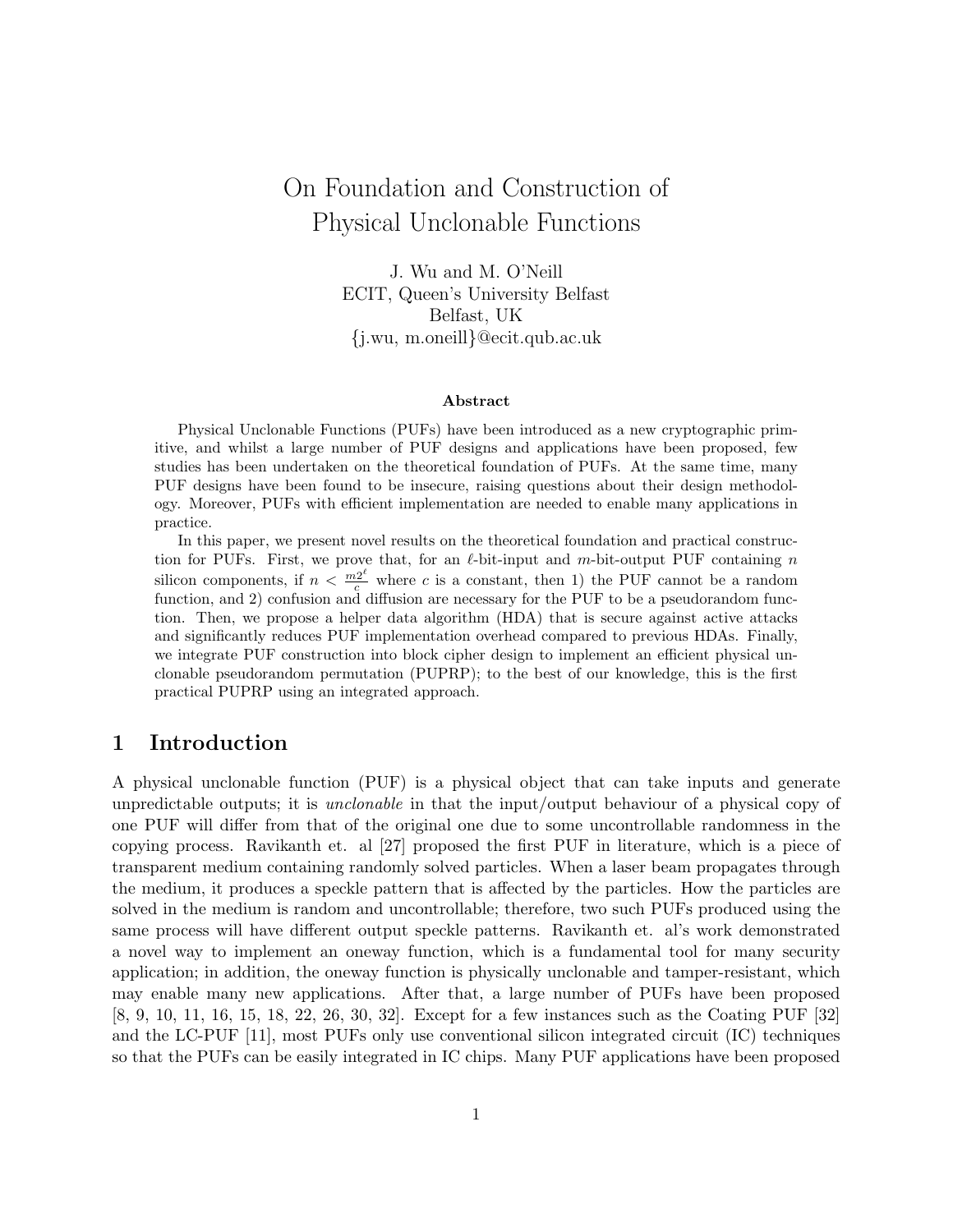# On Foundation and Construction of Physical Unclonable Functions

J. Wu and M. O'Neill ECIT, Queen's University Belfast Belfast, UK {j.wu, m.oneill}@ecit.qub.ac.uk

#### Abstract

Physical Unclonable Functions (PUFs) have been introduced as a new cryptographic primitive, and whilst a large number of PUF designs and applications have been proposed, few studies has been undertaken on the theoretical foundation of PUFs. At the same time, many PUF designs have been found to be insecure, raising questions about their design methodology. Moreover, PUFs with efficient implementation are needed to enable many applications in practice.

In this paper, we present novel results on the theoretical foundation and practical construction for PUFs. First, we prove that, for an  $\ell$ -bit-input and m-bit-output PUF containing n silicon components, if  $n < \frac{m2^{\ell}}{c}$  where c is a constant, then 1) the PUF cannot be a random function, and 2) confusion and diffusion are necessary for the PUF to be a pseudorandom function. Then, we propose a helper data algorithm (HDA) that is secure against active attacks and significantly reduces PUF implementation overhead compared to previous HDAs. Finally, we integrate PUF construction into block cipher design to implement an efficient physical unclonable pseudorandom permutation (PUPRP); to the best of our knowledge, this is the first practical PUPRP using an integrated approach.

### 1 Introduction

A physical unclonable function (PUF) is a physical object that can take inputs and generate unpredictable outputs; it is unclonable in that the input/output behaviour of a physical copy of one PUF will differ from that of the original one due to some uncontrollable randomness in the copying process. Ravikanth et. al [27] proposed the first PUF in literature, which is a piece of transparent medium containing randomly solved particles. When a laser beam propagates through the medium, it produces a speckle pattern that is affected by the particles. How the particles are solved in the medium is random and uncontrollable; therefore, two such PUFs produced using the same process will have different output speckle patterns. Ravikanth et. al's work demonstrated a novel way to implement an oneway function, which is a fundamental tool for many security application; in addition, the oneway function is physically unclonable and tamper-resistant, which may enable many new applications. After that, a large number of PUFs have been proposed [8, 9, 10, 11, 16, 15, 18, 22, 26, 30, 32]. Except for a few instances such as the Coating PUF [32] and the LC-PUF [11], most PUFs only use conventional silicon integrated circuit (IC) techniques so that the PUFs can be easily integrated in IC chips. Many PUF applications have been proposed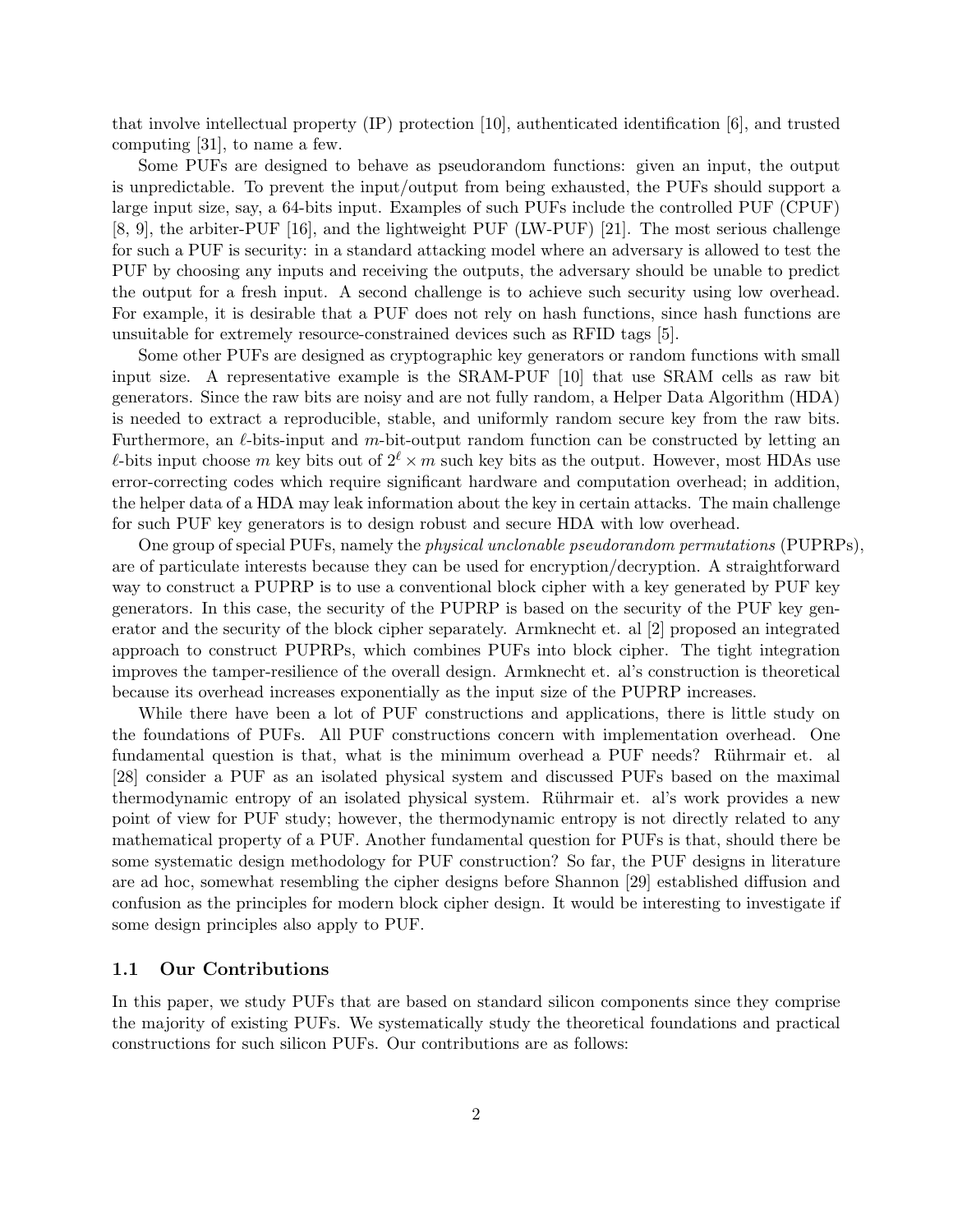that involve intellectual property (IP) protection [10], authenticated identification [6], and trusted computing [31], to name a few.

Some PUFs are designed to behave as pseudorandom functions: given an input, the output is unpredictable. To prevent the input/output from being exhausted, the PUFs should support a large input size, say, a 64-bits input. Examples of such PUFs include the controlled PUF (CPUF) [8, 9], the arbiter-PUF [16], and the lightweight PUF (LW-PUF) [21]. The most serious challenge for such a PUF is security: in a standard attacking model where an adversary is allowed to test the PUF by choosing any inputs and receiving the outputs, the adversary should be unable to predict the output for a fresh input. A second challenge is to achieve such security using low overhead. For example, it is desirable that a PUF does not rely on hash functions, since hash functions are unsuitable for extremely resource-constrained devices such as RFID tags [5].

Some other PUFs are designed as cryptographic key generators or random functions with small input size. A representative example is the SRAM-PUF [10] that use SRAM cells as raw bit generators. Since the raw bits are noisy and are not fully random, a Helper Data Algorithm (HDA) is needed to extract a reproducible, stable, and uniformly random secure key from the raw bits. Furthermore, an  $\ell$ -bits-input and  $m$ -bit-output random function can be constructed by letting an l-bits input choose m key bits out of  $2^{\ell} \times m$  such key bits as the output. However, most HDAs use error-correcting codes which require significant hardware and computation overhead; in addition, the helper data of a HDA may leak information about the key in certain attacks. The main challenge for such PUF key generators is to design robust and secure HDA with low overhead.

One group of special PUFs, namely the *physical unclonable pseudorandom permutations* (PUPRPs), are of particulate interests because they can be used for encryption/decryption. A straightforward way to construct a PUPRP is to use a conventional block cipher with a key generated by PUF key generators. In this case, the security of the PUPRP is based on the security of the PUF key generator and the security of the block cipher separately. Armknecht et. al [2] proposed an integrated approach to construct PUPRPs, which combines PUFs into block cipher. The tight integration improves the tamper-resilience of the overall design. Armknecht et. al's construction is theoretical because its overhead increases exponentially as the input size of the PUPRP increases.

While there have been a lot of PUF constructions and applications, there is little study on the foundations of PUFs. All PUF constructions concern with implementation overhead. One fundamental question is that, what is the minimum overhead a PUF needs? Rührmair et. al [28] consider a PUF as an isolated physical system and discussed PUFs based on the maximal thermodynamic entropy of an isolated physical system. Rührmair et. al's work provides a new point of view for PUF study; however, the thermodynamic entropy is not directly related to any mathematical property of a PUF. Another fundamental question for PUFs is that, should there be some systematic design methodology for PUF construction? So far, the PUF designs in literature are ad hoc, somewhat resembling the cipher designs before Shannon [29] established diffusion and confusion as the principles for modern block cipher design. It would be interesting to investigate if some design principles also apply to PUF.

#### 1.1 Our Contributions

In this paper, we study PUFs that are based on standard silicon components since they comprise the majority of existing PUFs. We systematically study the theoretical foundations and practical constructions for such silicon PUFs. Our contributions are as follows: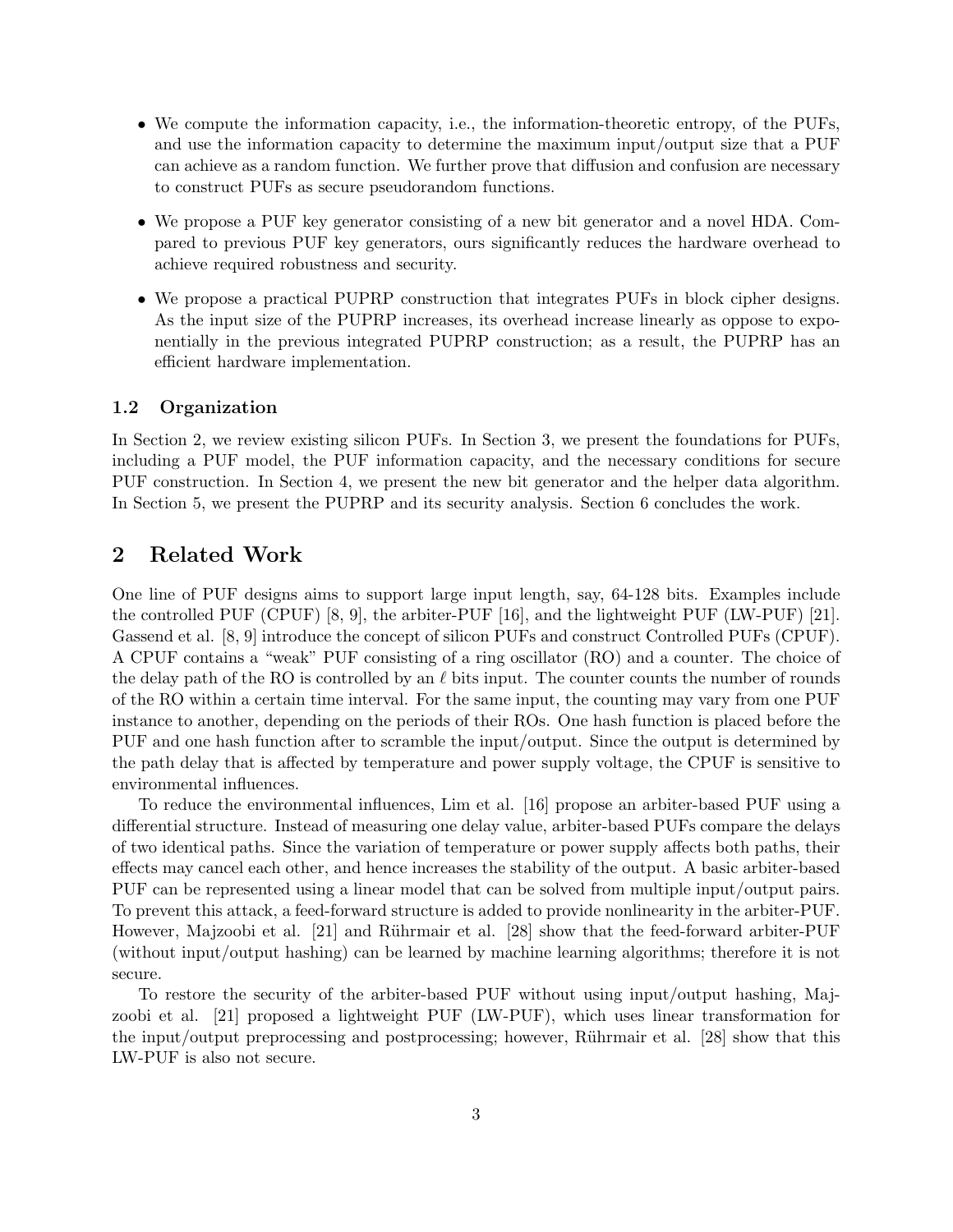- ∙ We compute the information capacity, i.e., the information-theoretic entropy, of the PUFs, and use the information capacity to determine the maximum input/output size that a PUF can achieve as a random function. We further prove that diffusion and confusion are necessary to construct PUFs as secure pseudorandom functions.
- ∙ We propose a PUF key generator consisting of a new bit generator and a novel HDA. Compared to previous PUF key generators, ours significantly reduces the hardware overhead to achieve required robustness and security.
- ∙ We propose a practical PUPRP construction that integrates PUFs in block cipher designs. As the input size of the PUPRP increases, its overhead increase linearly as oppose to exponentially in the previous integrated PUPRP construction; as a result, the PUPRP has an efficient hardware implementation.

#### 1.2 Organization

In Section 2, we review existing silicon PUFs. In Section 3, we present the foundations for PUFs, including a PUF model, the PUF information capacity, and the necessary conditions for secure PUF construction. In Section 4, we present the new bit generator and the helper data algorithm. In Section 5, we present the PUPRP and its security analysis. Section 6 concludes the work.

### 2 Related Work

One line of PUF designs aims to support large input length, say, 64-128 bits. Examples include the controlled PUF (CPUF) [8, 9], the arbiter-PUF [16], and the lightweight PUF (LW-PUF) [21]. Gassend et al. [8, 9] introduce the concept of silicon PUFs and construct Controlled PUFs (CPUF). A CPUF contains a "weak" PUF consisting of a ring oscillator (RO) and a counter. The choice of the delay path of the RO is controlled by an  $\ell$  bits input. The counter counts the number of rounds of the RO within a certain time interval. For the same input, the counting may vary from one PUF instance to another, depending on the periods of their ROs. One hash function is placed before the PUF and one hash function after to scramble the input/output. Since the output is determined by the path delay that is affected by temperature and power supply voltage, the CPUF is sensitive to environmental influences.

To reduce the environmental influences, Lim et al. [16] propose an arbiter-based PUF using a differential structure. Instead of measuring one delay value, arbiter-based PUFs compare the delays of two identical paths. Since the variation of temperature or power supply affects both paths, their effects may cancel each other, and hence increases the stability of the output. A basic arbiter-based PUF can be represented using a linear model that can be solved from multiple input/output pairs. To prevent this attack, a feed-forward structure is added to provide nonlinearity in the arbiter-PUF. However, Majzoobi et al. [21] and Rührmair et al. [28] show that the feed-forward arbiter-PUF (without input/output hashing) can be learned by machine learning algorithms; therefore it is not secure.

To restore the security of the arbiter-based PUF without using input/output hashing, Majzoobi et al. [21] proposed a lightweight PUF (LW-PUF), which uses linear transformation for the input/output preprocessing and postprocessing; however, Rührmair et al. [28] show that this LW-PUF is also not secure.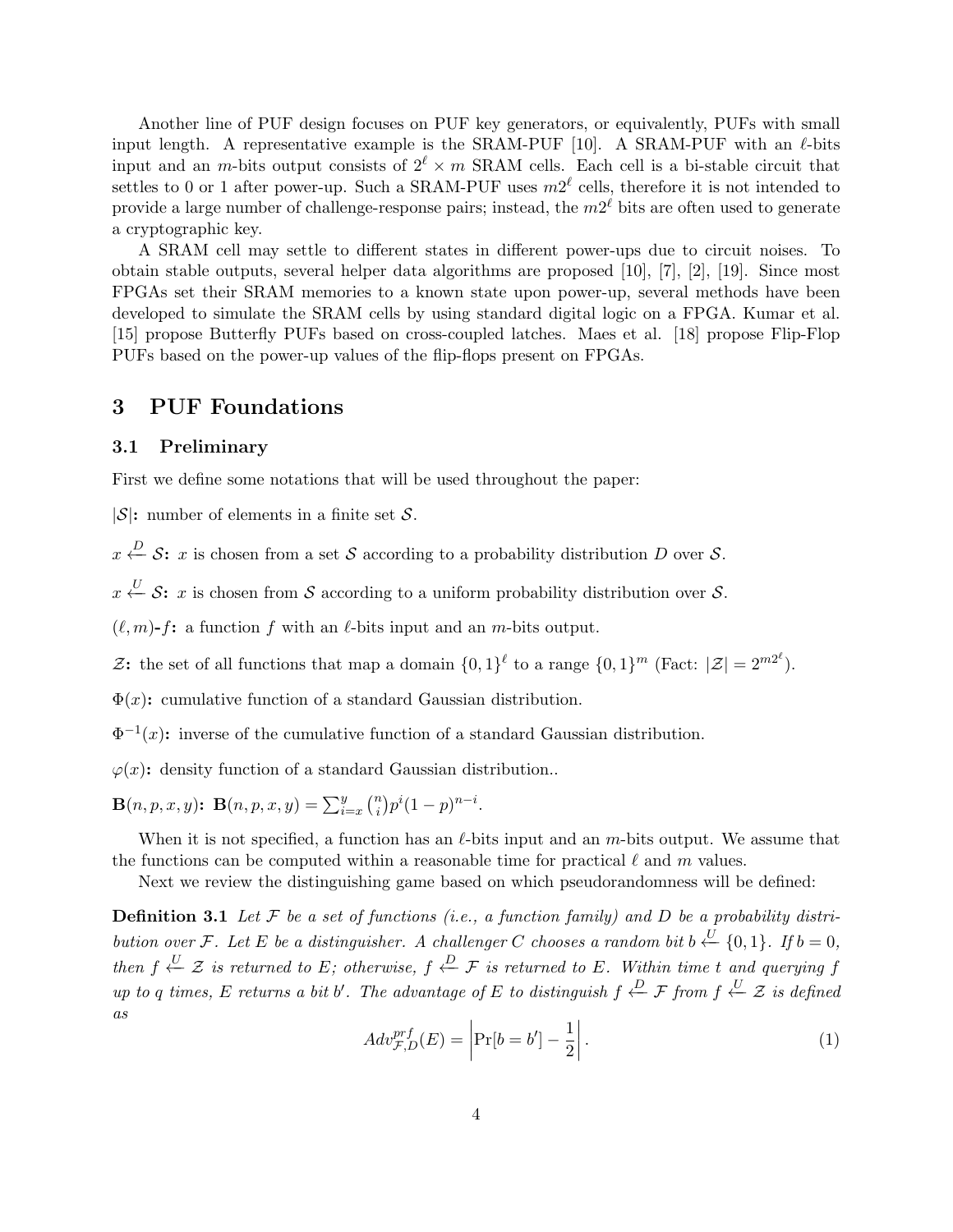Another line of PUF design focuses on PUF key generators, or equivalently, PUFs with small input length. A representative example is the SRAM-PUF  $[10]$ . A SRAM-PUF with an  $\ell$ -bits input and an m-bits output consists of  $2^{\ell} \times m$  SRAM cells. Each cell is a bi-stable circuit that settles to 0 or 1 after power-up. Such a SRAM-PUF uses  $m2^{\ell}$  cells, therefore it is not intended to provide a large number of challenge-response pairs; instead, the  $m2^{\ell}$  bits are often used to generate a cryptographic key.

A SRAM cell may settle to different states in different power-ups due to circuit noises. To obtain stable outputs, several helper data algorithms are proposed [10], [7], [2], [19]. Since most FPGAs set their SRAM memories to a known state upon power-up, several methods have been developed to simulate the SRAM cells by using standard digital logic on a FPGA. Kumar et al. [15] propose Butterfly PUFs based on cross-coupled latches. Maes et al. [18] propose Flip-Flop PUFs based on the power-up values of the flip-flops present on FPGAs.

### 3 PUF Foundations

#### 3.1 Preliminary

First we define some notations that will be used throughout the paper:

 $|\mathcal{S}|$ : number of elements in a finite set  $\mathcal{S}$ .

 $x \stackrel{D}{\leftarrow} \mathcal{S}$ : x is chosen from a set  $\mathcal S$  according to a probability distribution D over  $\mathcal S$ .

 $x \stackrel{U}{\leftarrow} \mathcal{S}$ : x is chosen from  $\mathcal S$  according to a uniform probability distribution over  $\mathcal S$ .

 $(\ell, m)$ - $f$ : a function  $f$  with an  $\ell$ -bits input and an  $m$ -bits output.

2: the set of all functions that map a domain  $\{0,1\}^{\ell}$  to a range  $\{0,1\}^m$  (Fact:  $|\mathcal{Z}| = 2^{m2^{\ell}}$ ).

 $\Phi(x)$ : cumulative function of a standard Gaussian distribution.

 $\Phi^{-1}(x)$ : inverse of the cumulative function of a standard Gaussian distribution.

 $\varphi(x)$ : density function of a standard Gaussian distribution..

 $\mathbf{B}(n, p, x, y)$ :  $\mathbf{B}(n, p, x, y) = \sum_{i=x}^{y} {n \choose i}$  $\binom{n}{i} p^i (1-p)^{n-i}.$ 

When it is not specified, a function has an  $\ell$ -bits input and an  $m$ -bits output. We assume that the functions can be computed within a reasonable time for practical  $\ell$  and  $m$  values.

Next we review the distinguishing game based on which pseudorandomness will be defined:

**Definition 3.1** Let  $\mathcal F$  be a set of functions (i.e., a function family) and  $D$  be a probability distribution over F. Let E be a distinguisher. A challenger C chooses a random bit  $b \stackrel{U}{\leftarrow} \{0,1\}$ . If  $b = 0$ , then  $f \stackrel{U}{\leftarrow} Z$  is returned to E; otherwise,  $f \stackrel{D}{\leftarrow} \mathcal{F}$  is returned to E. Within time t and querying f up to q times, E returns a bit b'. The advantage of E to distinguish  $f \stackrel{D}{\leftarrow} \mathcal{F}$  from  $f \stackrel{U}{\leftarrow} \mathcal{Z}$  is defined as

$$
Adv_{\mathcal{F},D}^{prf}(E) = \left| \Pr[b = b'] - \frac{1}{2} \right|.
$$
 (1)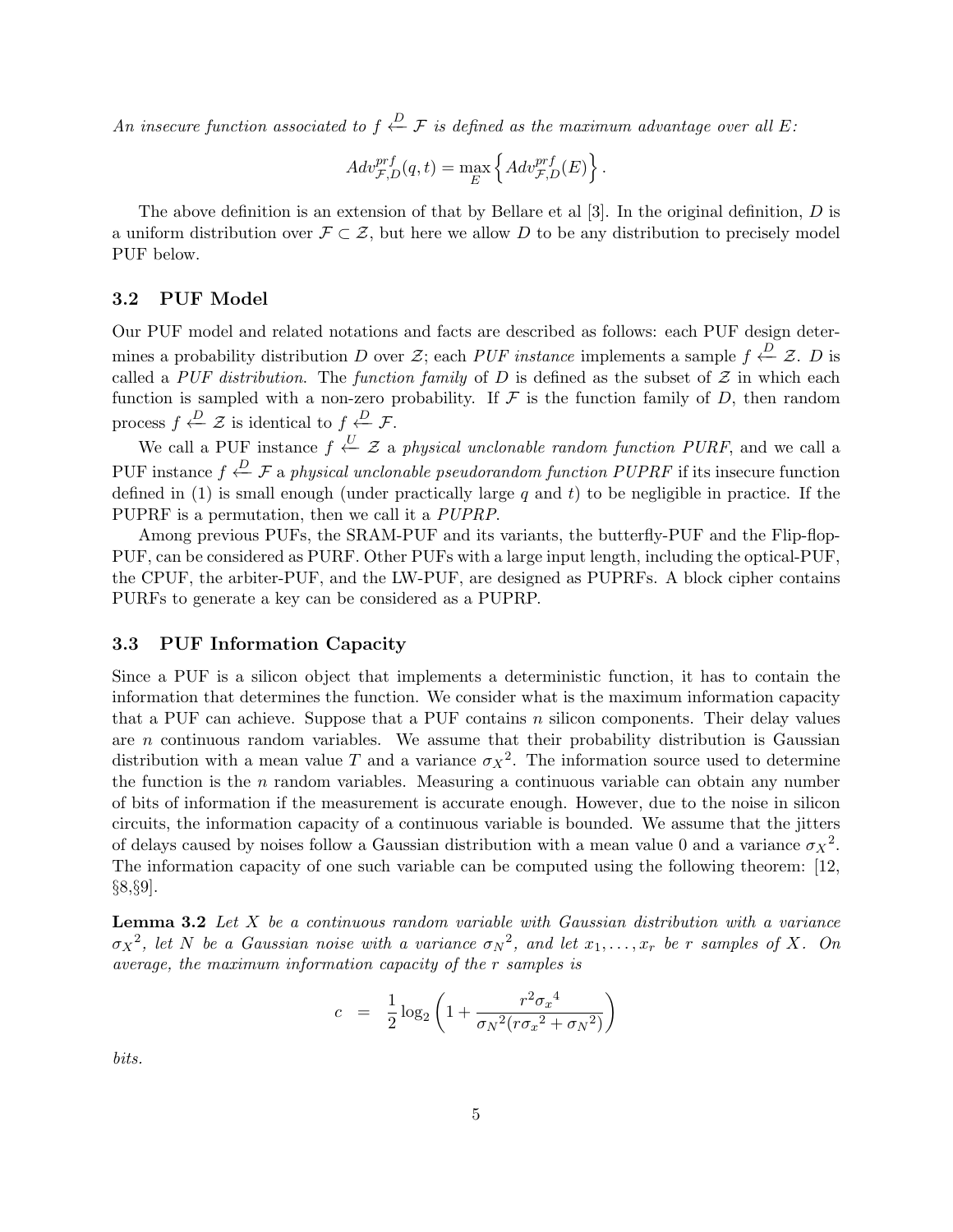An insecure function associated to  $f \stackrel{D}{\leftarrow} \mathcal{F}$  is defined as the maximum advantage over all E:

$$
Adv_{\mathcal{F},D}^{prf}(q,t) = \max_{E} \left\{ Adv_{\mathcal{F},D}^{prf}(E) \right\}.
$$

The above definition is an extension of that by Bellare et al  $[3]$ . In the original definition,  $D$  is a uniform distribution over  $\mathcal{F} \subset \mathcal{Z}$ , but here we allow D to be any distribution to precisely model PUF below.

#### 3.2 PUF Model

Our PUF model and related notations and facts are described as follows: each PUF design determines a probability distribution D over  $\mathcal{Z}$ ; each PUF instance implements a sample  $f \stackrel{D}{\leftarrow} \mathcal{Z}$ . D is called a PUF distribution. The function family of D is defined as the subset of  $\mathcal Z$  in which each function is sampled with a non-zero probability. If  $\mathcal F$  is the function family of  $D$ , then random process  $f \xleftarrow{D} \mathcal{Z}$  is identical to  $f \xleftarrow{D} \mathcal{F}$ .

We call a PUF instance  $f \stackrel{U}{\leftarrow} \mathcal{Z}$  a physical unclonable random function PURF, and we call a PUF instance  $f \stackrel{D}{\leftarrow} \mathcal{F}$  a physical unclonable pseudorandom function PUPRF if its insecure function defined in (1) is small enough (under practically large  $q$  and  $t$ ) to be negligible in practice. If the PUPRF is a permutation, then we call it a PUPRP.

Among previous PUFs, the SRAM-PUF and its variants, the butterfly-PUF and the Flip-flop-PUF, can be considered as PURF. Other PUFs with a large input length, including the optical-PUF, the CPUF, the arbiter-PUF, and the LW-PUF, are designed as PUPRFs. A block cipher contains PURFs to generate a key can be considered as a PUPRP.

#### 3.3 PUF Information Capacity

Since a PUF is a silicon object that implements a deterministic function, it has to contain the information that determines the function. We consider what is the maximum information capacity that a PUF can achieve. Suppose that a PUF contains  $n$  silicon components. Their delay values are  $n$  continuous random variables. We assume that their probability distribution is Gaussian distribution with a mean value T and a variance  $\sigma_X^2$ . The information source used to determine the function is the  $n$  random variables. Measuring a continuous variable can obtain any number of bits of information if the measurement is accurate enough. However, due to the noise in silicon circuits, the information capacity of a continuous variable is bounded. We assume that the jitters of delays caused by noises follow a Gaussian distribution with a mean value 0 and a variance  $\sigma_X^2$ . The information capacity of one such variable can be computed using the following theorem: [12, §8,§9].

**Lemma 3.2** Let  $X$  be a continuous random variable with Gaussian distribution with a variance  $\sigma_X^2$ , let N be a Gaussian noise with a variance  $\sigma_N^2$ , and let  $x_1, \ldots, x_r$  be r samples of X. On average, the maximum information capacity of the  $r$  samples is

$$
c = \frac{1}{2}\log_2\left(1 + \frac{r^2\sigma_x^4}{\sigma_N^2(r\sigma_x^2 + \sigma_N^2)}\right)
$$

bits.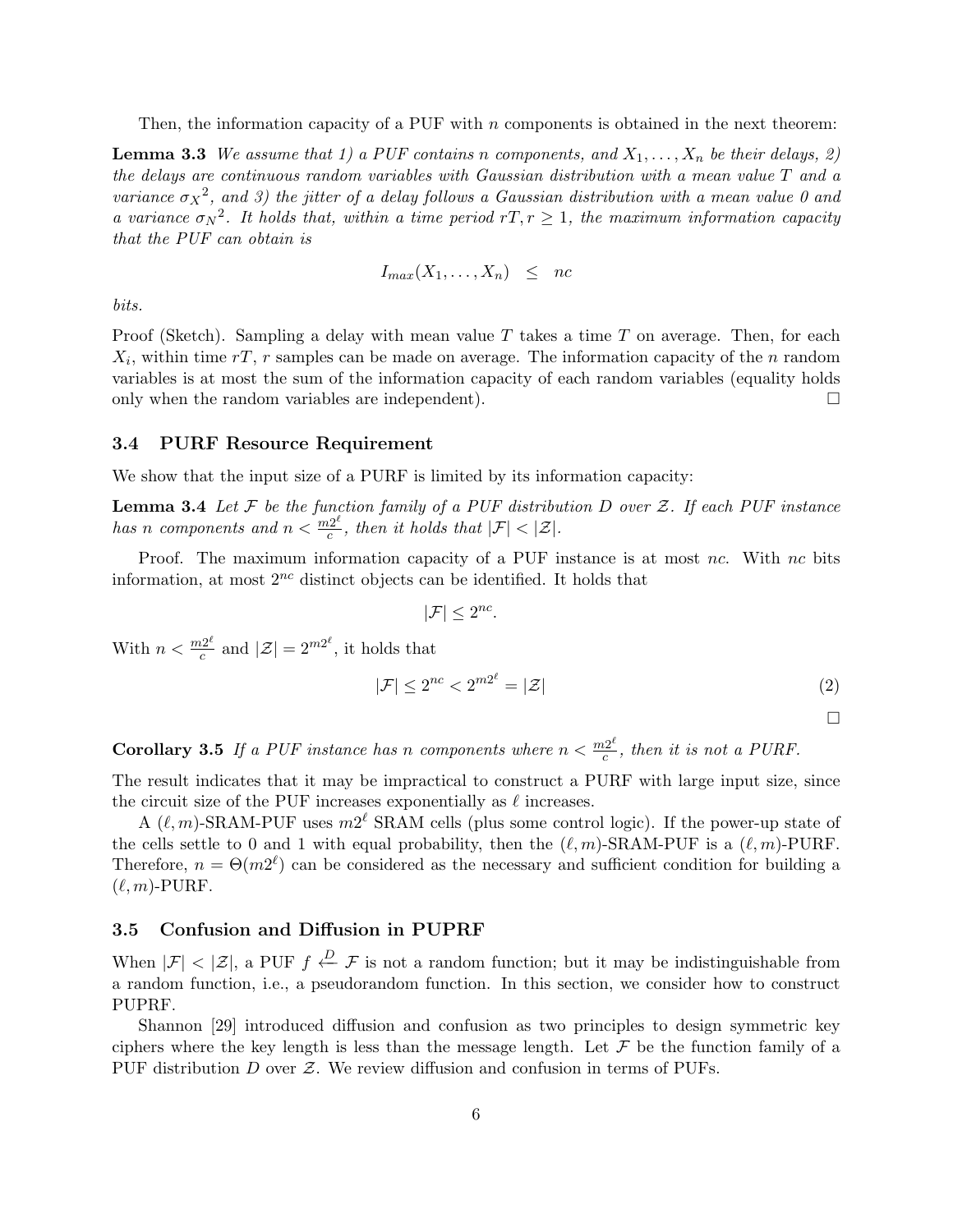Then, the information capacity of a PUF with  $n$  components is obtained in the next theorem:

**Lemma 3.3** We assume that 1) a PUF contains n components, and  $X_1, \ldots, X_n$  be their delays, 2) the delays are continuous random variables with Gaussian distribution with a mean value  $T$  and a variance  $\sigma_X^2$ , and 3) the jitter of a delay follows a Gaussian distribution with a mean value 0 and a variance  $\sigma_N^2$ . It holds that, within a time period  $rT, r \geq 1$ , the maximum information capacity that the PUF can obtain is

$$
I_{max}(X_1,\ldots,X_n) \leq nc
$$

bits.

Proof (Sketch). Sampling a delay with mean value T takes a time T on average. Then, for each  $X_i$ , within time  $rT$ , r samples can be made on average. The information capacity of the n random variables is at most the sum of the information capacity of each random variables (equality holds only when the random variables are independent).  $\Box$ 

#### 3.4 PURF Resource Requirement

We show that the input size of a PURF is limited by its information capacity:

**Lemma 3.4** Let  $F$  be the function family of a PUF distribution  $D$  over  $\mathcal{Z}$ . If each PUF instance has n components and  $n < \frac{m2^{\ell}}{c}$  $\frac{d^2\mathcal{L}}{d^2}$ , then it holds that  $|\mathcal{F}| < |\mathcal{Z}|$ .

Proof. The maximum information capacity of a PUF instance is at most  $nc$ . With  $nc$  bits information, at most  $2^{nc}$  distinct objects can be identified. It holds that

$$
|\mathcal{F}| \le 2^{nc}.
$$

With  $n < \frac{m2^{\ell}}{c}$  $\frac{d^{2^{\ell}}}{dt^{2^{\ell}}}$  and  $|\mathcal{Z}| = 2^{m2^{\ell}}$ , it holds that

$$
|\mathcal{F}| \le 2^{nc} < 2^{m2^\ell} = |\mathcal{Z}| \tag{2}
$$

□

**Corollary 3.5** If a PUF instance has n components where  $n < \frac{m2^{\ell}}{c}$  $\frac{d^{2}}{c}$ , then it is not a PURF.

The result indicates that it may be impractical to construct a PURF with large input size, since the circuit size of the PUF increases exponentially as  $\ell$  increases.

A  $(\ell, m)$ -SRAM-PUF uses  $m2^{\ell}$  SRAM cells (plus some control logic). If the power-up state of the cells settle to 0 and 1 with equal probability, then the  $(\ell, m)$ -SRAM-PUF is a  $(\ell, m)$ -PURF. Therefore,  $n = \Theta(m2^{\ell})$  can be considered as the necessary and sufficient condition for building a  $(\ell, m)$ -PURF.

#### 3.5 Confusion and Diffusion in PUPRF

When  $|\mathcal{F}| < |\mathcal{Z}|$ , a PUF  $f \stackrel{D}{\leftarrow} \mathcal{F}$  is not a random function; but it may be indistinguishable from a random function, i.e., a pseudorandom function. In this section, we consider how to construct PUPRF.

Shannon [29] introduced diffusion and confusion as two principles to design symmetric key ciphers where the key length is less than the message length. Let  $\mathcal F$  be the function family of a PUF distribution  $D$  over  $\mathcal Z$ . We review diffusion and confusion in terms of PUFs.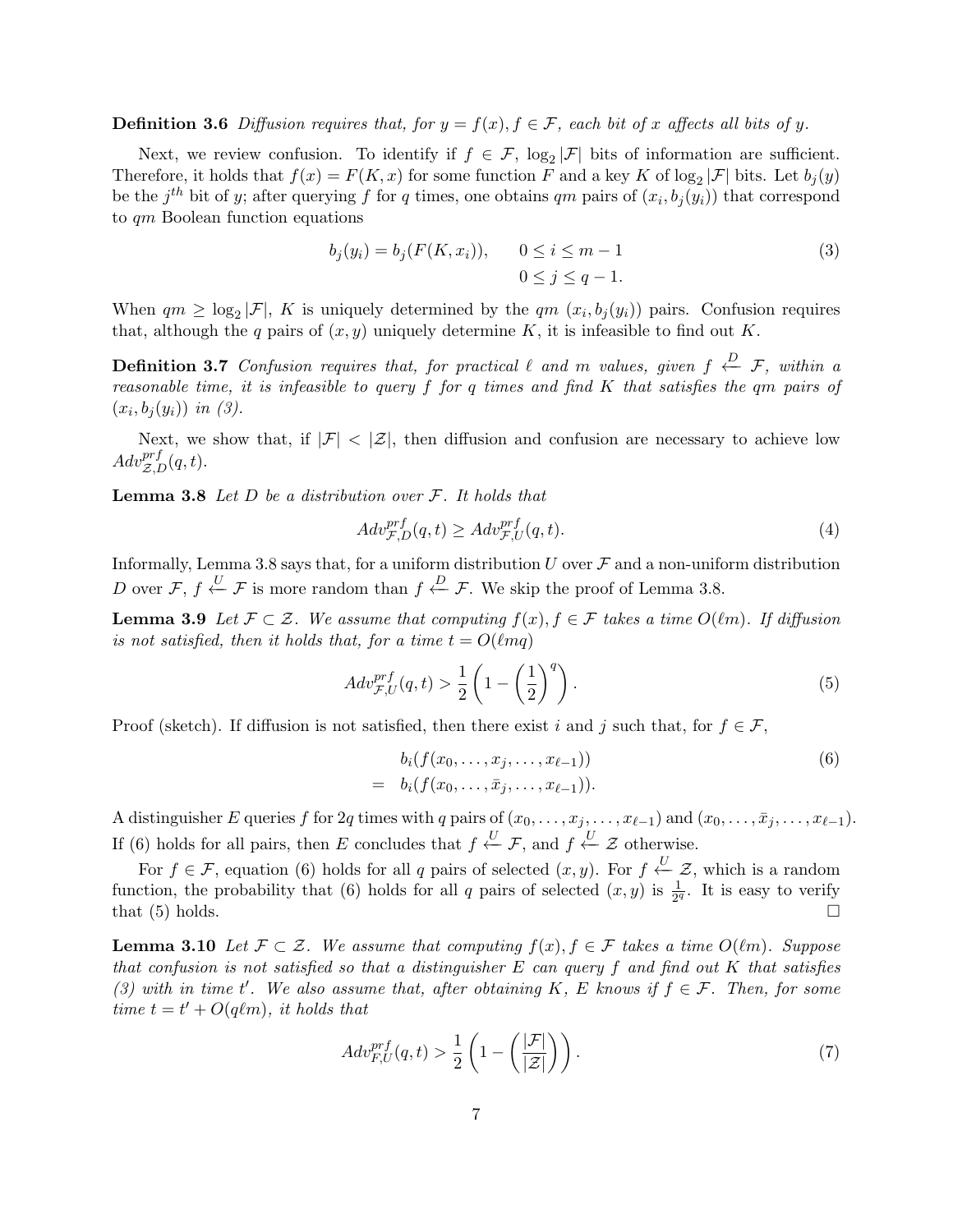**Definition 3.6** Diffusion requires that, for  $y = f(x)$ ,  $f \in \mathcal{F}$ , each bit of x affects all bits of y.

Next, we review confusion. To identify if  $f \in \mathcal{F}$ ,  $\log_2 |\mathcal{F}|$  bits of information are sufficient. Therefore, it holds that  $f(x) = F(K, x)$  for some function F and a key K of log<sub>2</sub> |F| bits. Let  $b_j(y)$ be the  $j^{th}$  bit of y; after querying f for q times, one obtains qm pairs of  $(x_i, b_j(y_i))$  that correspond to  $qm$  Boolean function equations

$$
b_j(y_i) = b_j(F(K, x_i)), \qquad 0 \le i \le m - 1
$$
  
0 \le j \le q - 1. (3)

When  $qm \geq \log_2 |\mathcal{F}|$ , K is uniquely determined by the  $qm (x_i, b_j(y_i))$  pairs. Confusion requires that, although the q pairs of  $(x, y)$  uniquely determine K, it is infeasible to find out K.

**Definition 3.7** Confusion requires that, for practical  $\ell$  and  $m$  values, given  $f \stackrel{D}{\leftarrow} \mathcal{F}$ , within a reasonable time, it is infeasible to query  $f$  for  $q$  times and find  $K$  that satisfies the  $qm$  pairs of  $(x_i, b_j(y_i))$  in (3).

Next, we show that, if  $|\mathcal{F}| < |\mathcal{Z}|$ , then diffusion and confusion are necessary to achieve low  $Adv_{\mathcal{Z},D}^{prf}(q,t).$ 

**Lemma 3.8** Let  $D$  be a distribution over  $\mathcal{F}$ . It holds that

$$
Adv_{\mathcal{F},D}^{prf}(q,t) \geq Adv_{\mathcal{F},U}^{prf}(q,t). \tag{4}
$$

Informally, Lemma 3.8 says that, for a uniform distribution  $U$  over  $\mathcal F$  and a non-uniform distribution D over  $\mathcal{F}, f \stackrel{U}{\leftarrow} \mathcal{F}$  is more random than  $f \stackrel{D}{\leftarrow} \mathcal{F}$ . We skip the proof of Lemma 3.8.

**Lemma 3.9** Let  $\mathcal{F} \subset \mathcal{Z}$ . We assume that computing  $f(x), f \in \mathcal{F}$  takes a time  $O(\ell m)$ . If diffusion is not satisfied, then it holds that, for a time  $t = O(\ell m q)$ 

$$
Adv_{\mathcal{F},U}^{prf}(q,t) > \frac{1}{2} \left( 1 - \left(\frac{1}{2}\right)^q \right). \tag{5}
$$

Proof (sketch). If diffusion is not satisfied, then there exist i and j such that, for  $f \in \mathcal{F}$ ,

$$
b_i(f(x_0, \ldots, x_j, \ldots, x_{\ell-1}))
$$
  
=  $b_i(f(x_0, \ldots, \bar{x}_j, \ldots, x_{\ell-1})).$  (6)

A distinguisher E queries f for 2q times with q pairs of  $(x_0, \ldots, x_j, \ldots, x_{\ell-1})$  and  $(x_0, \ldots, \bar{x}_j, \ldots, x_{\ell-1})$ . If (6) holds for all pairs, then E concludes that  $f \stackrel{U}{\leftarrow} \mathcal{F}$ , and  $f \stackrel{U}{\leftarrow} \mathcal{Z}$  otherwise.

For  $f \in \mathcal{F}$ , equation (6) holds for all q pairs of selected  $(x, y)$ . For  $f \stackrel{U}{\leftarrow} \mathcal{Z}$ , which is a random function, the probability that (6) holds for all q pairs of selected  $(x, y)$  is  $\frac{1}{2^q}$ . It is easy to verify that  $(5)$  holds.  $\Box$ 

**Lemma 3.10** Let  $\mathcal{F} \subset \mathcal{Z}$ . We assume that computing  $f(x), f \in \mathcal{F}$  takes a time  $O(\ell m)$ . Suppose that confusion is not satisfied so that a distinguisher  $E$  can query  $f$  and find out  $K$  that satisfies (3) with in time t'. We also assume that, after obtaining K, E knows if  $f \in \mathcal{F}$ . Then, for some time  $t = t' + O(q\ell m)$ , it holds that

$$
Adv_{F,U}^{prf}(q,t) > \frac{1}{2} \left( 1 - \left( \frac{|\mathcal{F}|}{|\mathcal{Z}|} \right) \right). \tag{7}
$$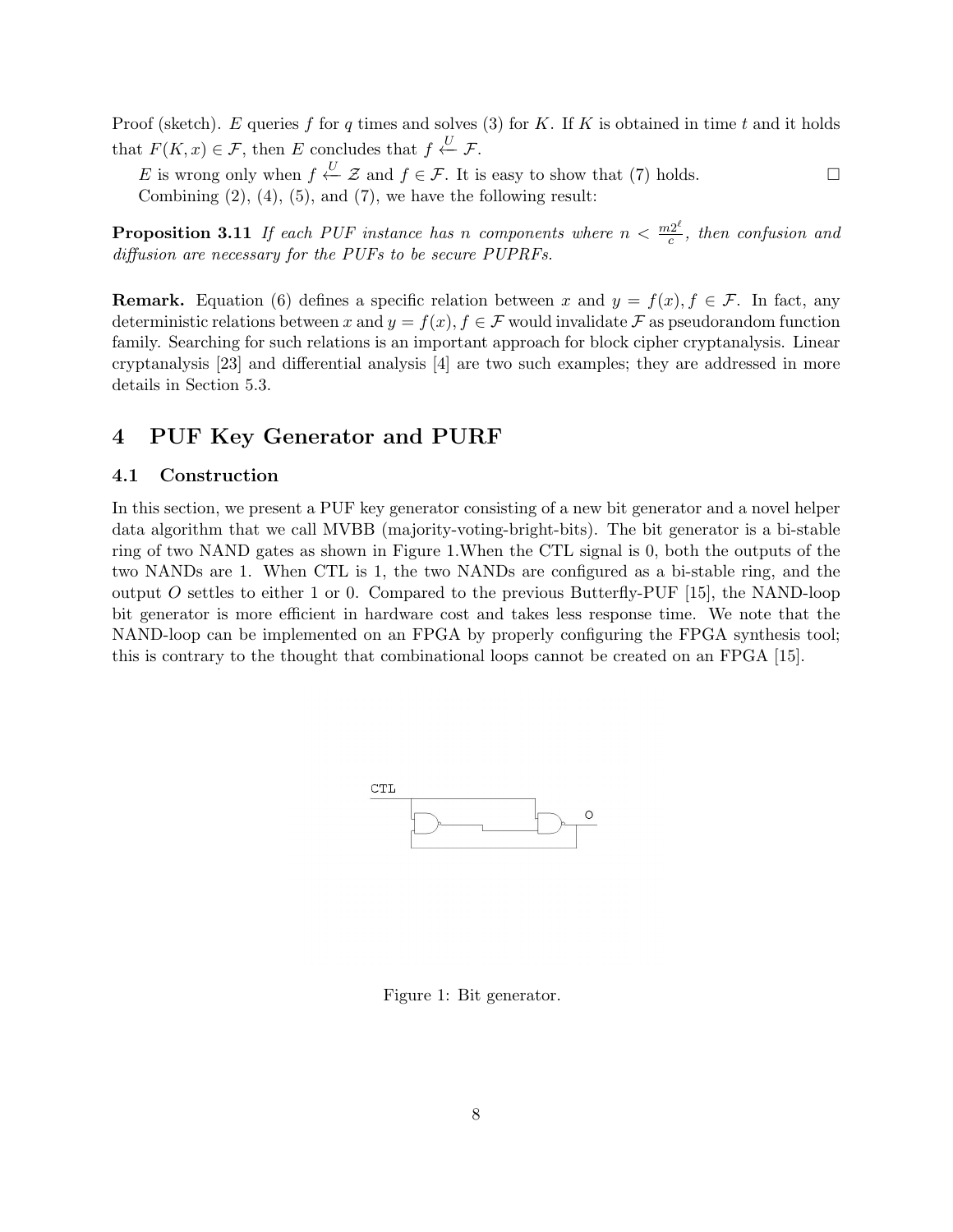Proof (sketch). E queries f for q times and solves (3) for K. If K is obtained in time t and it holds that  $F(K, x) \in \mathcal{F}$ , then E concludes that  $f \stackrel{U}{\leftarrow} \mathcal{F}$ .

E is wrong only when  $f \stackrel{U}{\leftarrow} \mathcal{Z}$  and  $f \in \mathcal{F}$ . It is easy to show that (7) holds.  $\Box$ Combining  $(2)$ ,  $(4)$ ,  $(5)$ , and  $(7)$ , we have the following result:

**Proposition 3.11** If each PUF instance has n components where  $n < \frac{m2^{\ell}}{c}$  $\frac{d^{2c}}{c}$ , then confusion and diffusion are necessary for the PUFs to be secure PUPRFs.

**Remark.** Equation (6) defines a specific relation between x and  $y = f(x), f \in \mathcal{F}$ . In fact, any deterministic relations between x and  $y = f(x), f \in \mathcal{F}$  would invalidate  $\mathcal{F}$  as pseudorandom function family. Searching for such relations is an important approach for block cipher cryptanalysis. Linear cryptanalysis [23] and differential analysis [4] are two such examples; they are addressed in more details in Section 5.3.

# 4 PUF Key Generator and PURF

#### 4.1 Construction

In this section, we present a PUF key generator consisting of a new bit generator and a novel helper data algorithm that we call MVBB (majority-voting-bright-bits). The bit generator is a bi-stable ring of two NAND gates as shown in Figure 1.When the CTL signal is 0, both the outputs of the two NANDs are 1. When CTL is 1, the two NANDs are configured as a bi-stable ring, and the output O settles to either 1 or 0. Compared to the previous Butterfly-PUF  $[15]$ , the NAND-loop bit generator is more efficient in hardware cost and takes less response time. We note that the NAND-loop can be implemented on an FPGA by properly configuring the FPGA synthesis tool; this is contrary to the thought that combinational loops cannot be created on an FPGA [15].



Figure 1: Bit generator.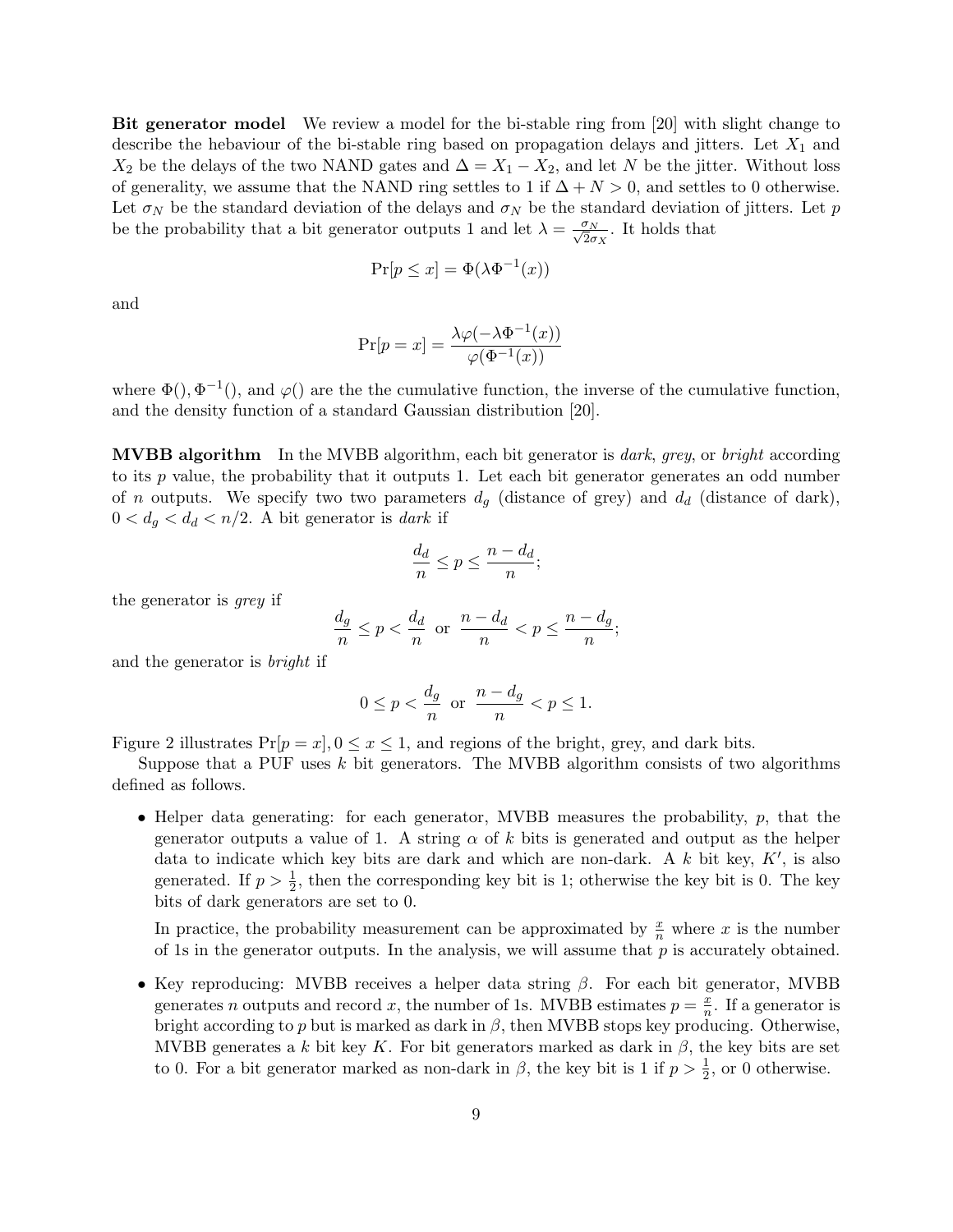Bit generator model We review a model for the bi-stable ring from [20] with slight change to describe the hebaviour of the bi-stable ring based on propagation delays and jitters. Let  $X_1$  and  $X_2$  be the delays of the two NAND gates and  $\Delta = X_1 - X_2$ , and let N be the jitter. Without loss of generality, we assume that the NAND ring settles to 1 if  $\Delta + N > 0$ , and settles to 0 otherwise. Let  $\sigma_N$  be the standard deviation of the delays and  $\sigma_N$  be the standard deviation of jitters. Let p be the probability that a bit generator outputs 1 and let  $\lambda = \frac{\sigma_N}{\sqrt{2}\sigma_X}$ . It holds that

$$
\Pr[p \le x] = \Phi(\lambda \Phi^{-1}(x))
$$

and

$$
\Pr[p = x] = \frac{\lambda \varphi(-\lambda \Phi^{-1}(x))}{\varphi(\Phi^{-1}(x))}
$$

where  $\Phi(.)$ ,  $\Phi^{-1}(.)$ , and  $\varphi()$  are the the cumulative function, the inverse of the cumulative function, and the density function of a standard Gaussian distribution [20].

**MVBB algorithm** In the MVBB algorithm, each bit generator is *dark, grey,* or *bright* according to its  $p$  value, the probability that it outputs 1. Let each bit generator generates an odd number of *n* outputs. We specify two two parameters  $d_q$  (distance of grey) and  $d_d$  (distance of dark),  $0 < d_g < d_d < n/2$ . A bit generator is dark if

$$
\frac{d_d}{n} \le p \le \frac{n - d_d}{n};
$$

the generator is grey if

$$
\frac{d_g}{n} \le p < \frac{d_d}{n} \text{ or } \frac{n - d_d}{n} < p \le \frac{n - d_g}{n};
$$

and the generator is bright if

$$
0 \le p < \frac{d_g}{n} \text{ or } \frac{n - d_g}{n} < p \le 1.
$$

Figure 2 illustrates  $Pr[p = x], 0 \le x \le 1$ , and regions of the bright, grey, and dark bits.

Suppose that a PUF uses  $k$  bit generators. The MVBB algorithm consists of two algorithms defined as follows.

• Helper data generating: for each generator, MVBB measures the probability,  $p$ , that the generator outputs a value of 1. A string  $\alpha$  of k bits is generated and output as the helper data to indicate which key bits are dark and which are non-dark. A  $k$  bit key,  $K'$ , is also generated. If  $p > \frac{1}{2}$ , then the corresponding key bit is 1; otherwise the key bit is 0. The key bits of dark generators are set to 0.

In practice, the probability measurement can be approximated by  $\frac{x}{n}$  where x is the number of 1s in the generator outputs. In the analysis, we will assume that  $p$  is accurately obtained.

• Key reproducing: MVBB receives a helper data string  $\beta$ . For each bit generator, MVBB generates *n* outputs and record *x*, the number of 1s. MVBB estimates  $p = \frac{x}{n}$  $\frac{x}{n}$ . If a generator is bright according to  $p$  but is marked as dark in  $\beta$ , then MVBB stops key producing. Otherwise, MVBB generates a k bit key K. For bit generators marked as dark in  $\beta$ , the key bits are set to 0. For a bit generator marked as non-dark in  $\beta$ , the key bit is 1 if  $p > \frac{1}{2}$ , or 0 otherwise.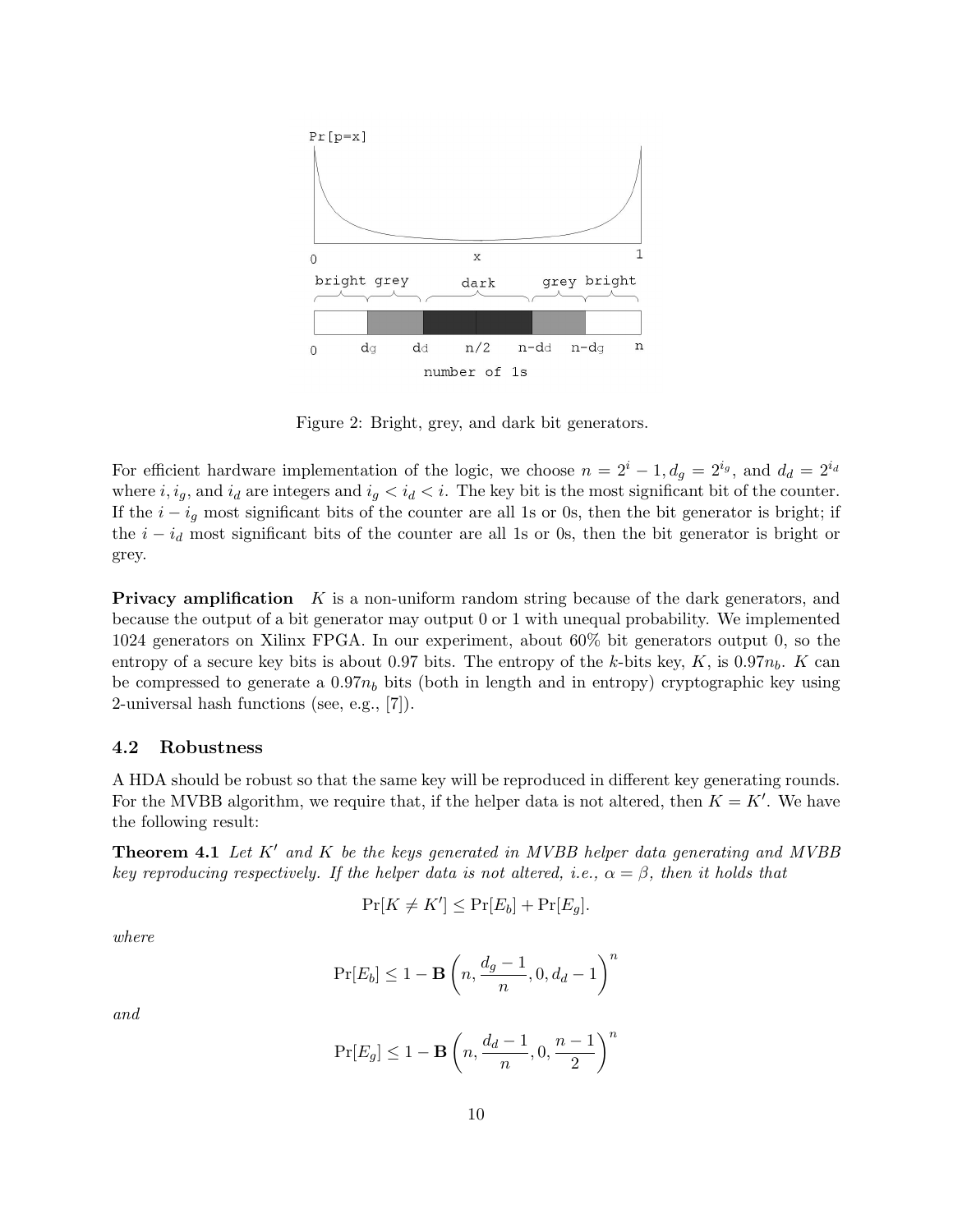

Figure 2: Bright, grey, and dark bit generators.

For efficient hardware implementation of the logic, we choose  $n = 2^{i} - 1, d_g = 2^{i_g}$ , and  $d_d = 2^{i_d}$ where  $i, i_g$ , and  $i_d$  are integers and  $i_g < i_d < i$ . The key bit is the most significant bit of the counter. If the  $i - i_q$  most significant bits of the counter are all 1s or 0s, then the bit generator is bright; if the  $i - i_d$  most significant bits of the counter are all 1s or 0s, then the bit generator is bright or grey.

**Privacy amplification**  $K$  is a non-uniform random string because of the dark generators, and because the output of a bit generator may output 0 or 1 with unequal probability. We implemented 1024 generators on Xilinx FPGA. In our experiment, about 60% bit generators output 0, so the entropy of a secure key bits is about 0.97 bits. The entropy of the k-bits key,  $K$ , is 0.97 $n_b$ .  $K$  can be compressed to generate a  $0.97n_b$  bits (both in length and in entropy) cryptographic key using 2-universal hash functions (see, e.g., [7]).

#### 4.2 Robustness

A HDA should be robust so that the same key will be reproduced in different key generating rounds. For the MVBB algorithm, we require that, if the helper data is not altered, then  $K = K'$ . We have the following result:

**Theorem 4.1** Let  $K'$  and  $K$  be the keys generated in MVBB helper data generating and MVBB key reproducing respectively. If the helper data is not altered, i.e.,  $\alpha = \beta$ , then it holds that

$$
\Pr[K \neq K'] \le \Pr[E_b] + \Pr[E_g].
$$

where

$$
\Pr[E_b] \le 1 - \mathbf{B}\left(n, \frac{d_g - 1}{n}, 0, d_d - 1\right)^n
$$

and

$$
\Pr[E_g] \le 1 - \mathbf{B}\left(n, \frac{d_d - 1}{n}, 0, \frac{n - 1}{2}\right)^n
$$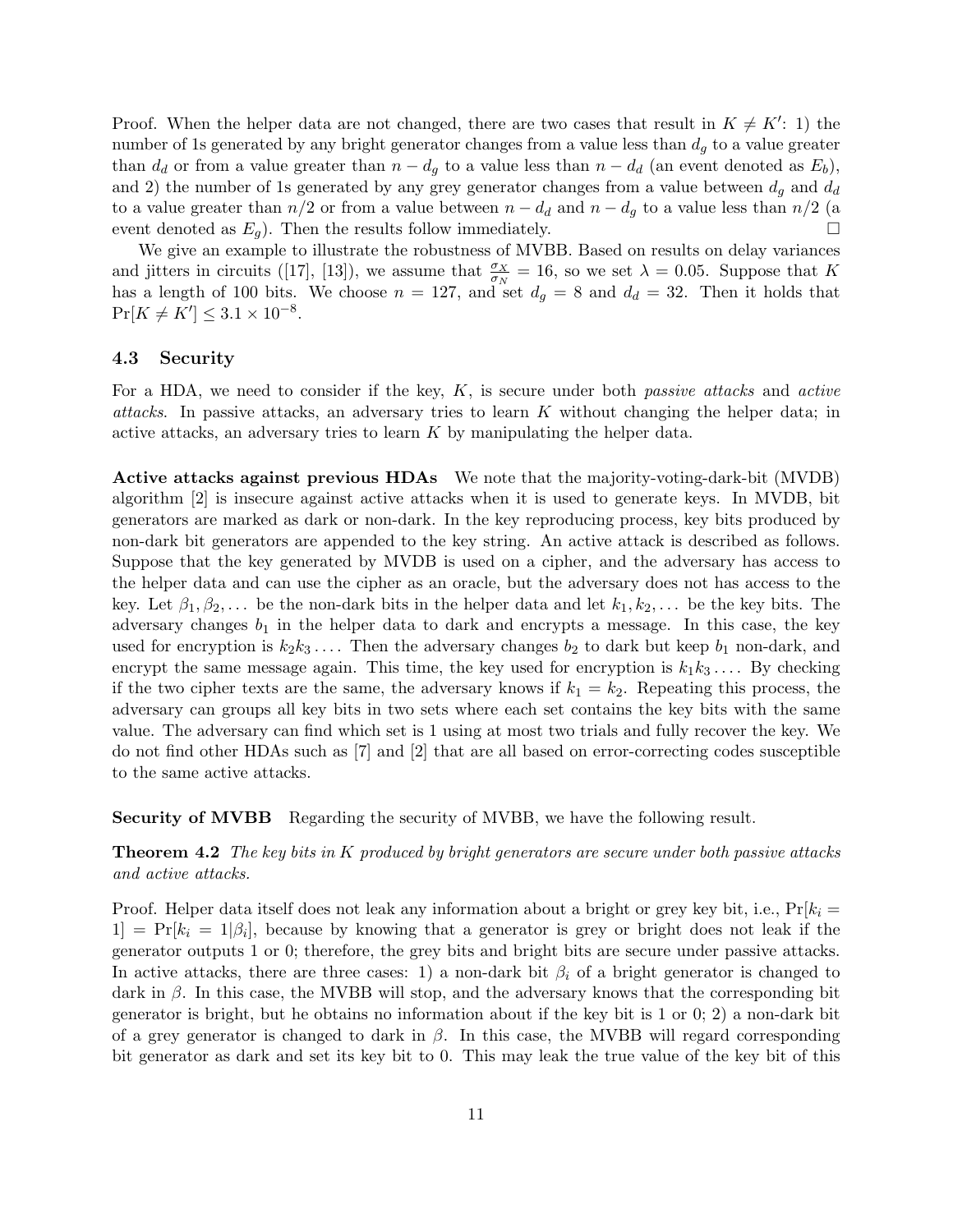Proof. When the helper data are not changed, there are two cases that result in  $K \neq K'$ : 1) the number of 1s generated by any bright generator changes from a value less than  $d_q$  to a value greater than  $d_d$  or from a value greater than  $n - d_q$  to a value less than  $n - d_d$  (an event denoted as  $E_b$ ), and 2) the number of 1s generated by any grey generator changes from a value between  $d_q$  and  $d_d$ to a value greater than  $n/2$  or from a value between  $n - d_d$  and  $n - d_g$  to a value less than  $n/2$  (a event denoted as  $E_q$ ). Then the results follow immediately.  $\Box$ 

We give an example to illustrate the robustness of MVBB. Based on results on delay variances and jitters in circuits ([17], [13]), we assume that  $\frac{\sigma_X}{\sigma_N} = 16$ , so we set  $\lambda = 0.05$ . Suppose that K has a length of 100 bits. We choose  $n = 127$ , and set  $d_g = 8$  and  $d_d = 32$ . Then it holds that  $Pr[K \neq K'] \leq 3.1 \times 10^{-8}.$ 

#### 4.3 Security

For a HDA, we need to consider if the key,  $K$ , is secure under both *passive attacks* and *active* attacks. In passive attacks, an adversary tries to learn  $K$  without changing the helper data; in active attacks, an adversary tries to learn  $K$  by manipulating the helper data.

Active attacks against previous HDAs We note that the majority-voting-dark-bit (MVDB) algorithm [2] is insecure against active attacks when it is used to generate keys. In MVDB, bit generators are marked as dark or non-dark. In the key reproducing process, key bits produced by non-dark bit generators are appended to the key string. An active attack is described as follows. Suppose that the key generated by MVDB is used on a cipher, and the adversary has access to the helper data and can use the cipher as an oracle, but the adversary does not has access to the key. Let  $\beta_1, \beta_2, \ldots$  be the non-dark bits in the helper data and let  $k_1, k_2, \ldots$  be the key bits. The adversary changes  $b_1$  in the helper data to dark and encrypts a message. In this case, the key used for encryption is  $k_2 k_3 \ldots$ . Then the adversary changes  $b_2$  to dark but keep  $b_1$  non-dark, and encrypt the same message again. This time, the key used for encryption is  $k_1k_3...$  By checking if the two cipher texts are the same, the adversary knows if  $k_1 = k_2$ . Repeating this process, the adversary can groups all key bits in two sets where each set contains the key bits with the same value. The adversary can find which set is 1 using at most two trials and fully recover the key. We do not find other HDAs such as [7] and [2] that are all based on error-correcting codes susceptible to the same active attacks.

Security of MVBB Regarding the security of MVBB, we have the following result.

**Theorem 4.2** The key bits in  $K$  produced by bright generators are secure under both passive attacks and active attacks.

Proof. Helper data itself does not leak any information about a bright or grey key bit, i.e.,  $Pr[k_i =$  $1] = Pr[k_i = 1|\beta_i],$  because by knowing that a generator is grey or bright does not leak if the generator outputs 1 or 0; therefore, the grey bits and bright bits are secure under passive attacks. In active attacks, there are three cases: 1) a non-dark bit  $\beta_i$  of a bright generator is changed to dark in  $\beta$ . In this case, the MVBB will stop, and the adversary knows that the corresponding bit generator is bright, but he obtains no information about if the key bit is 1 or 0; 2) a non-dark bit of a grey generator is changed to dark in  $\beta$ . In this case, the MVBB will regard corresponding bit generator as dark and set its key bit to 0. This may leak the true value of the key bit of this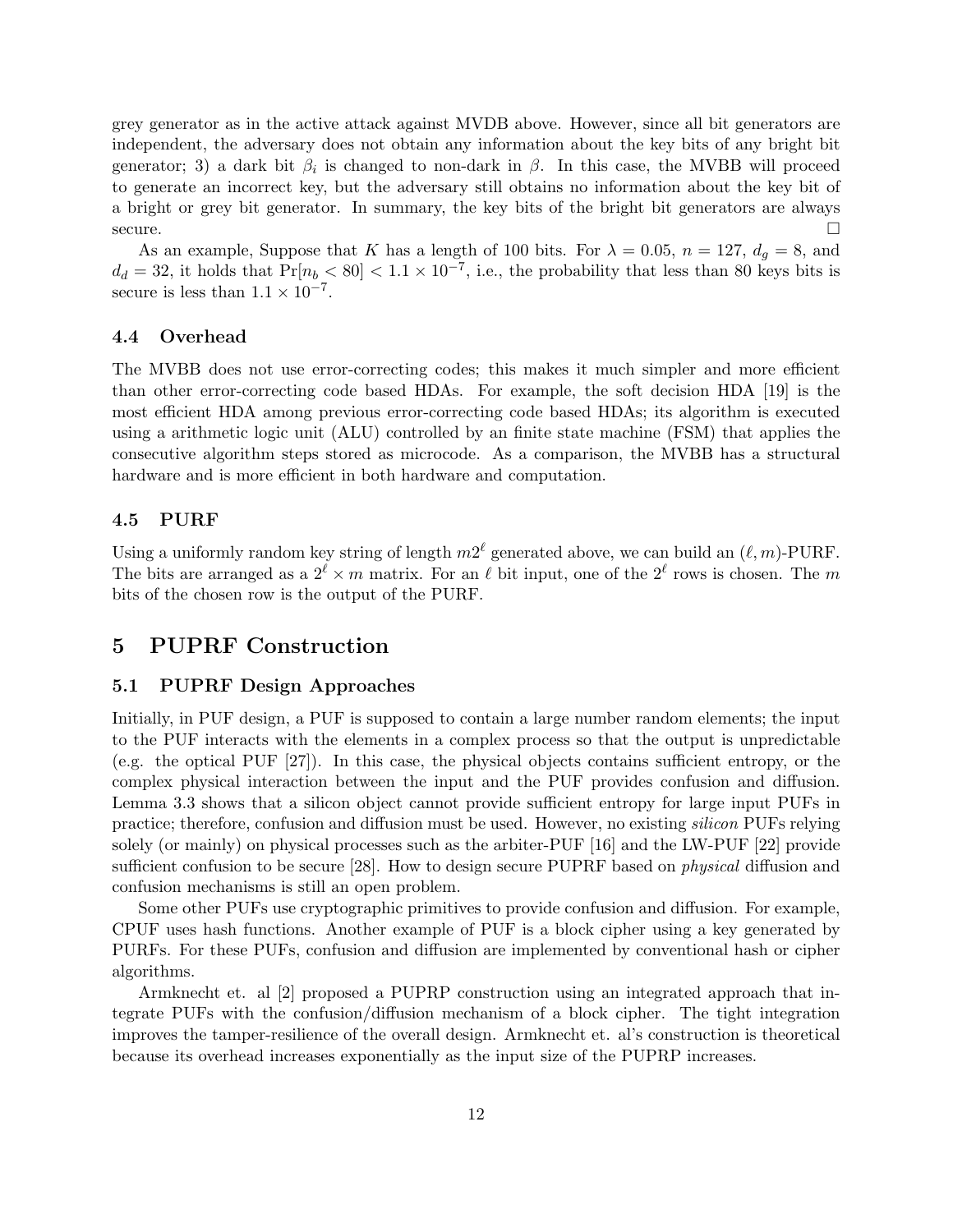grey generator as in the active attack against MVDB above. However, since all bit generators are independent, the adversary does not obtain any information about the key bits of any bright bit generator; 3) a dark bit  $\beta_i$  is changed to non-dark in  $\beta$ . In this case, the MVBB will proceed to generate an incorrect key, but the adversary still obtains no information about the key bit of a bright or grey bit generator. In summary, the key bits of the bright bit generators are always secure.  $\Box$ 

As an example, Suppose that K has a length of 100 bits. For  $\lambda = 0.05$ ,  $n = 127$ ,  $d_g = 8$ , and  $d_d = 32$ , it holds that  $Pr[n_b < 80] < 1.1 \times 10^{-7}$ , i.e., the probability that less than 80 keys bits is secure is less than  $1.1 \times 10^{-7}$ .

#### 4.4 Overhead

The MVBB does not use error-correcting codes; this makes it much simpler and more efficient than other error-correcting code based HDAs. For example, the soft decision HDA [19] is the most efficient HDA among previous error-correcting code based HDAs; its algorithm is executed using a arithmetic logic unit (ALU) controlled by an finite state machine (FSM) that applies the consecutive algorithm steps stored as microcode. As a comparison, the MVBB has a structural hardware and is more efficient in both hardware and computation.

#### 4.5 PURF

Using a uniformly random key string of length  $m2^{\ell}$  generated above, we can build an  $(\ell, m)$ -PURF. The bits are arranged as a  $2^{\ell} \times m$  matrix. For an  $\ell$  bit input, one of the  $2^{\ell}$  rows is chosen. The m bits of the chosen row is the output of the PURF.

### 5 PUPRF Construction

#### 5.1 PUPRF Design Approaches

Initially, in PUF design, a PUF is supposed to contain a large number random elements; the input to the PUF interacts with the elements in a complex process so that the output is unpredictable (e.g. the optical PUF [27]). In this case, the physical objects contains sufficient entropy, or the complex physical interaction between the input and the PUF provides confusion and diffusion. Lemma 3.3 shows that a silicon object cannot provide sufficient entropy for large input PUFs in practice; therefore, confusion and diffusion must be used. However, no existing silicon PUFs relying solely (or mainly) on physical processes such as the arbiter-PUF [16] and the LW-PUF [22] provide sufficient confusion to be secure [28]. How to design secure PUPRF based on *physical* diffusion and confusion mechanisms is still an open problem.

Some other PUFs use cryptographic primitives to provide confusion and diffusion. For example, CPUF uses hash functions. Another example of PUF is a block cipher using a key generated by PURFs. For these PUFs, confusion and diffusion are implemented by conventional hash or cipher algorithms.

Armknecht et. al [2] proposed a PUPRP construction using an integrated approach that integrate PUFs with the confusion/diffusion mechanism of a block cipher. The tight integration improves the tamper-resilience of the overall design. Armknecht et. al's construction is theoretical because its overhead increases exponentially as the input size of the PUPRP increases.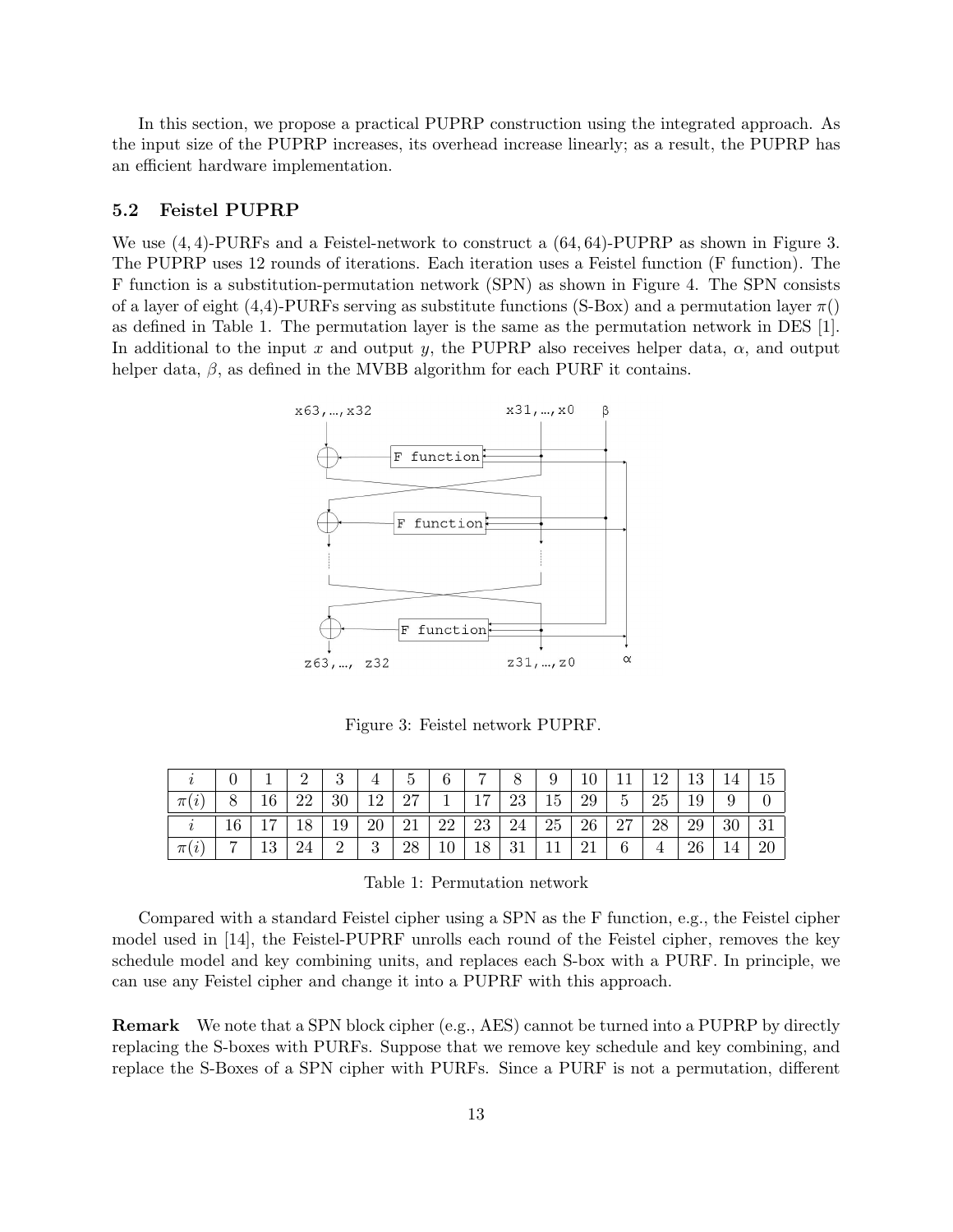In this section, we propose a practical PUPRP construction using the integrated approach. As the input size of the PUPRP increases, its overhead increase linearly; as a result, the PUPRP has an efficient hardware implementation.

#### 5.2 Feistel PUPRP

We use  $(4, 4)$ -PURFs and a Feistel-network to construct a  $(64, 64)$ -PUPRP as shown in Figure 3. The PUPRP uses 12 rounds of iterations. Each iteration uses a Feistel function (F function). The F function is a substitution-permutation network (SPN) as shown in Figure 4. The SPN consists of a layer of eight (4,4)-PURFs serving as substitute functions (S-Box) and a permutation layer  $\pi$ () as defined in Table 1. The permutation layer is the same as the permutation network in DES [1]. In additional to the input x and output y, the PUPRP also receives helper data,  $\alpha$ , and output helper data,  $\beta$ , as defined in the MVBB algorithm for each PURF it contains.



Figure 3: Feistel network PUPRF.

|       |                |                |    | 3              | 4  | 5  | 6  | $\overline{ }$ | 8  | 9         | 10 | 11             | 19             | 13 | 14 | 15 |
|-------|----------------|----------------|----|----------------|----|----|----|----------------|----|-----------|----|----------------|----------------|----|----|----|
| $\pi$ |                | 16             | 22 | 30             | 12 | 27 |    |                | 23 | 15        | 29 | $\overline{5}$ | 25             | 19 | 9  |    |
|       | 16             | 1 <sub>7</sub> |    | 19             | 20 | 21 | 22 | 23             | 24 | 25        | 26 | 27             | 28             | 29 | 30 | 21 |
| $\pi$ | $\overline{ }$ | 19<br>ŦΘ       |    | $\overline{2}$ | 3  | 28 | 10 | 18             | 31 | <b>TT</b> | 21 | 6              | $\overline{4}$ | 26 |    | 20 |

Compared with a standard Feistel cipher using a SPN as the F function, e.g., the Feistel cipher model used in [14], the Feistel-PUPRF unrolls each round of the Feistel cipher, removes the key schedule model and key combining units, and replaces each S-box with a PURF. In principle, we can use any Feistel cipher and change it into a PUPRF with this approach.

Remark We note that a SPN block cipher (e.g., AES) cannot be turned into a PUPRP by directly replacing the S-boxes with PURFs. Suppose that we remove key schedule and key combining, and replace the S-Boxes of a SPN cipher with PURFs. Since a PURF is not a permutation, different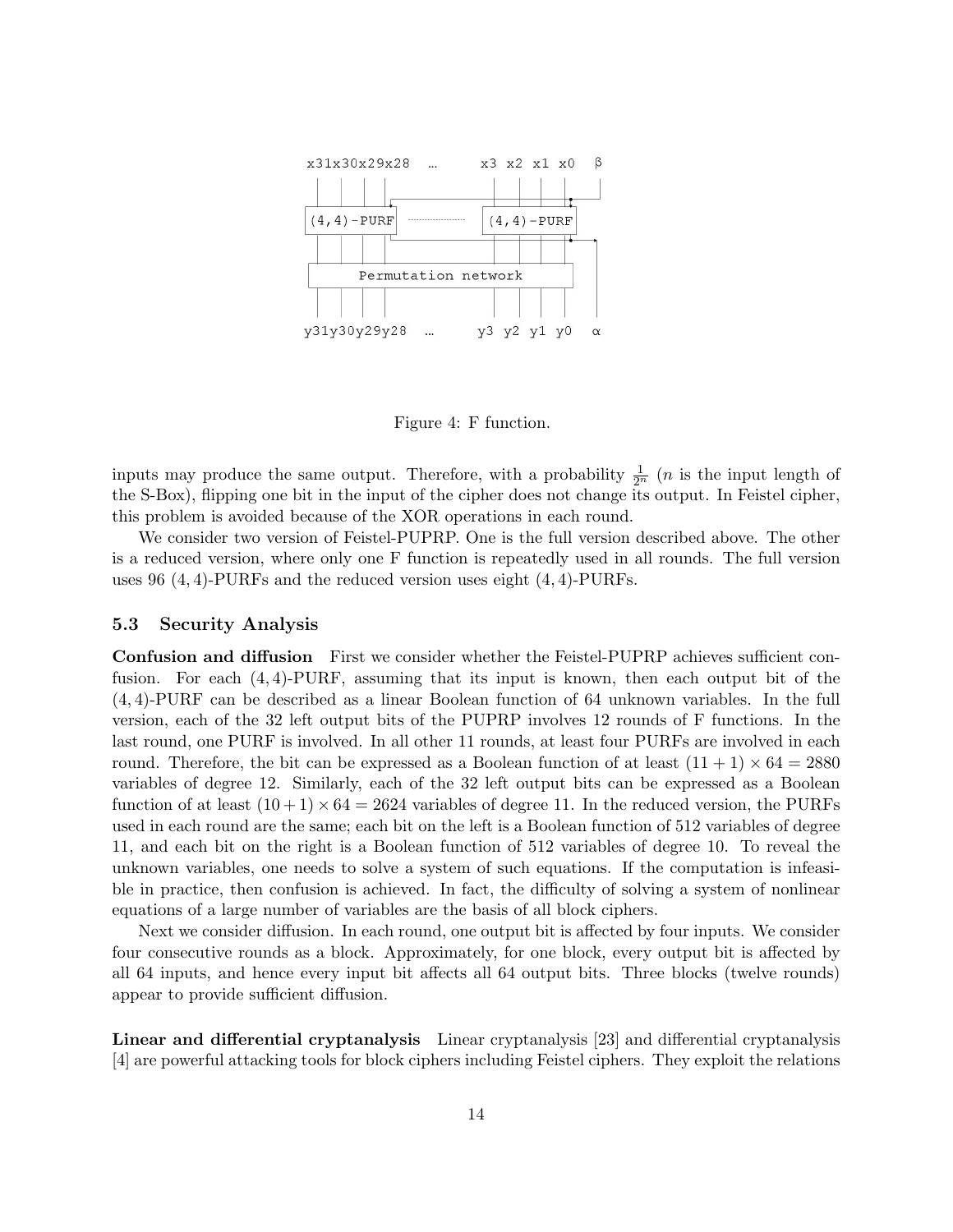

Figure 4: F function.

inputs may produce the same output. Therefore, with a probability  $\frac{1}{2^n}$  (*n* is the input length of the S-Box), flipping one bit in the input of the cipher does not change its output. In Feistel cipher, this problem is avoided because of the XOR operations in each round.

We consider two version of Feistel-PUPRP. One is the full version described above. The other is a reduced version, where only one F function is repeatedly used in all rounds. The full version uses 96  $(4, 4)$ -PURFs and the reduced version uses eight  $(4, 4)$ -PURFs.

#### 5.3 Security Analysis

Confusion and diffusion First we consider whether the Feistel-PUPRP achieves sufficient confusion. For each  $(4, 4)$ -PURF, assuming that its input is known, then each output bit of the (4, 4)-PURF can be described as a linear Boolean function of 64 unknown variables. In the full version, each of the 32 left output bits of the PUPRP involves 12 rounds of F functions. In the last round, one PURF is involved. In all other 11 rounds, at least four PURFs are involved in each round. Therefore, the bit can be expressed as a Boolean function of at least  $(11 + 1) \times 64 = 2880$ variables of degree 12. Similarly, each of the 32 left output bits can be expressed as a Boolean function of at least  $(10+1) \times 64 = 2624$  variables of degree 11. In the reduced version, the PURFs used in each round are the same; each bit on the left is a Boolean function of 512 variables of degree 11, and each bit on the right is a Boolean function of 512 variables of degree 10. To reveal the unknown variables, one needs to solve a system of such equations. If the computation is infeasible in practice, then confusion is achieved. In fact, the difficulty of solving a system of nonlinear equations of a large number of variables are the basis of all block ciphers.

Next we consider diffusion. In each round, one output bit is affected by four inputs. We consider four consecutive rounds as a block. Approximately, for one block, every output bit is affected by all 64 inputs, and hence every input bit affects all 64 output bits. Three blocks (twelve rounds) appear to provide sufficient diffusion.

Linear and differential cryptanalysis Linear cryptanalysis [23] and differential cryptanalysis [4] are powerful attacking tools for block ciphers including Feistel ciphers. They exploit the relations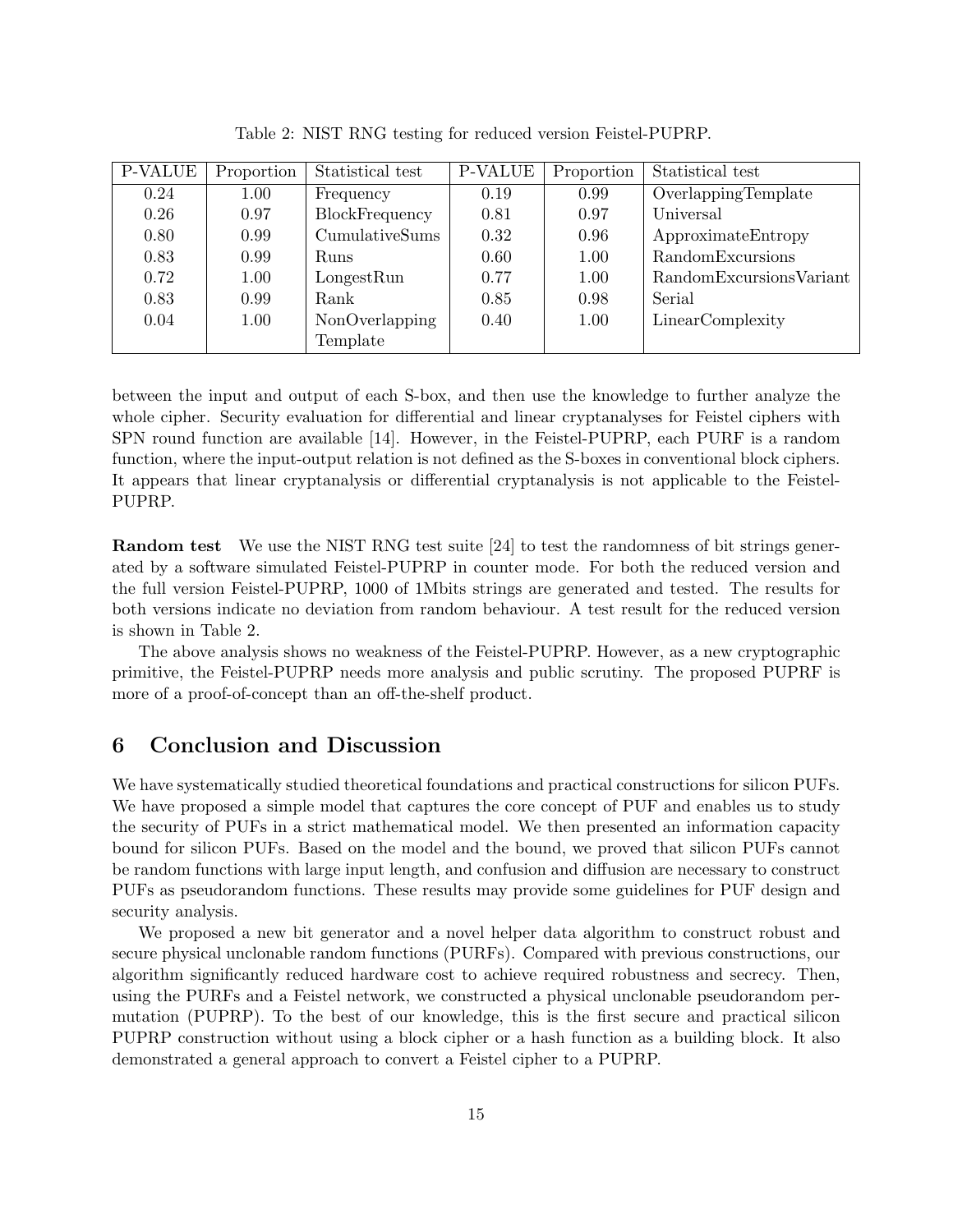| <b>P-VALUE</b> | Proportion | Statistical test | <b>P-VALUE</b> | Proportion | Statistical test          |
|----------------|------------|------------------|----------------|------------|---------------------------|
| 0.24           | 1.00       | Frequency        | 0.19           | 0.99       | OverlappingTemplate       |
| 0.26           | 0.97       | BlockFrequency   | 0.81           | 0.97       | Universal                 |
| 0.80           | 0.99       | CumulativeSums   | 0.32           | 0.96       | ApproximateEntropy        |
| 0.83           | 0.99       | Runs             | 0.60           | 1.00       | RandomExcursions          |
| 0.72           | 1.00       | LongestRun       | 0.77           | 1.00       | Random Excursions Variant |
| 0.83           | 0.99       | Rank             | 0.85           | 0.98       | Serial                    |
| 0.04           | 1.00       | NonOverlapping   | 0.40           | 1.00       | LinearComplexity          |
|                |            | Template         |                |            |                           |

Table 2: NIST RNG testing for reduced version Feistel-PUPRP.

between the input and output of each S-box, and then use the knowledge to further analyze the whole cipher. Security evaluation for differential and linear cryptanalyses for Feistel ciphers with SPN round function are available [14]. However, in the Feistel-PUPRP, each PURF is a random function, where the input-output relation is not defined as the S-boxes in conventional block ciphers. It appears that linear cryptanalysis or differential cryptanalysis is not applicable to the Feistel-PUPRP.

Random test We use the NIST RNG test suite [24] to test the randomness of bit strings generated by a software simulated Feistel-PUPRP in counter mode. For both the reduced version and the full version Feistel-PUPRP, 1000 of 1Mbits strings are generated and tested. The results for both versions indicate no deviation from random behaviour. A test result for the reduced version is shown in Table 2.

The above analysis shows no weakness of the Feistel-PUPRP. However, as a new cryptographic primitive, the Feistel-PUPRP needs more analysis and public scrutiny. The proposed PUPRF is more of a proof-of-concept than an off-the-shelf product.

### 6 Conclusion and Discussion

We have systematically studied theoretical foundations and practical constructions for silicon PUFs. We have proposed a simple model that captures the core concept of PUF and enables us to study the security of PUFs in a strict mathematical model. We then presented an information capacity bound for silicon PUFs. Based on the model and the bound, we proved that silicon PUFs cannot be random functions with large input length, and confusion and diffusion are necessary to construct PUFs as pseudorandom functions. These results may provide some guidelines for PUF design and security analysis.

We proposed a new bit generator and a novel helper data algorithm to construct robust and secure physical unclonable random functions (PURFs). Compared with previous constructions, our algorithm significantly reduced hardware cost to achieve required robustness and secrecy. Then, using the PURFs and a Feistel network, we constructed a physical unclonable pseudorandom permutation (PUPRP). To the best of our knowledge, this is the first secure and practical silicon PUPRP construction without using a block cipher or a hash function as a building block. It also demonstrated a general approach to convert a Feistel cipher to a PUPRP.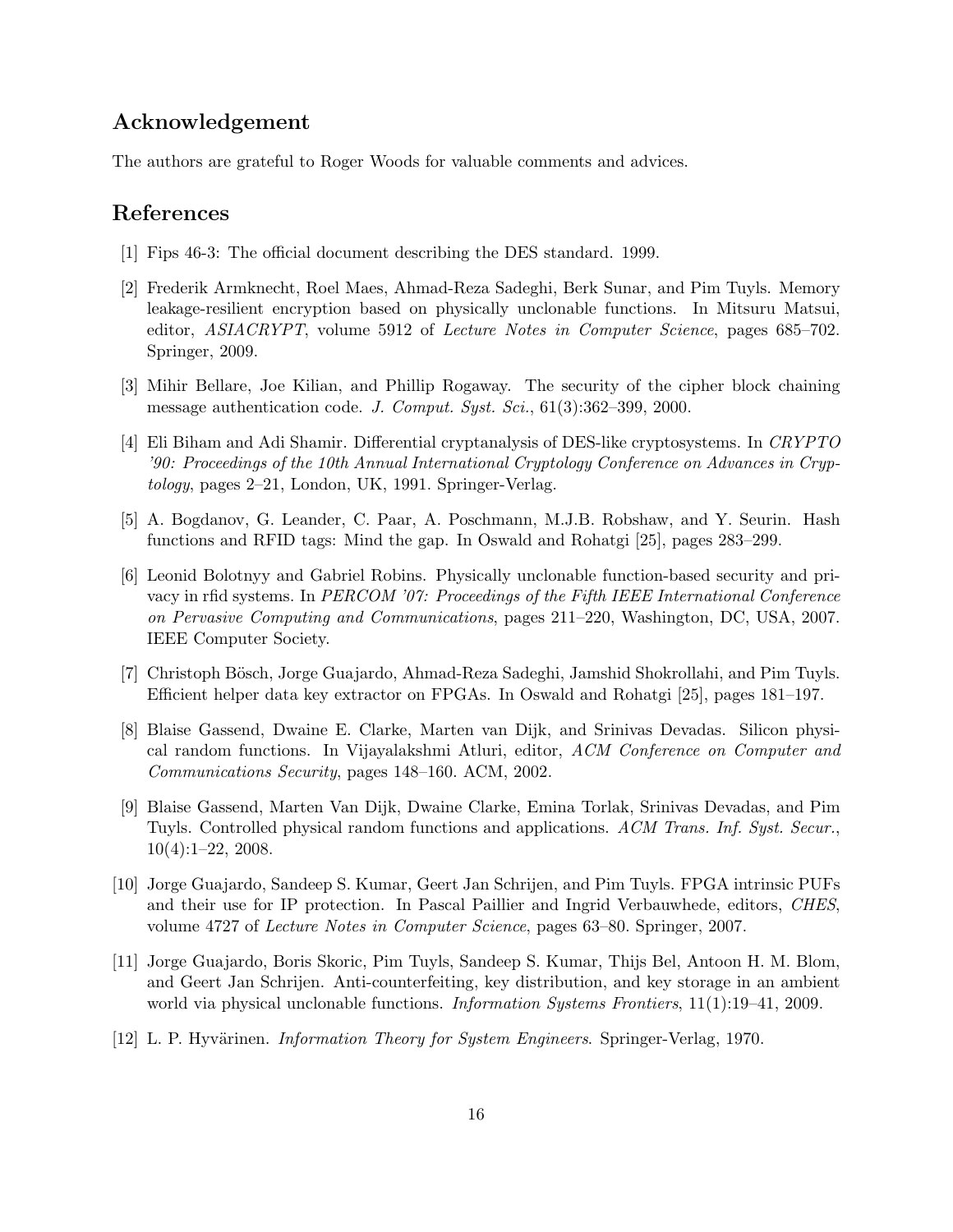## Acknowledgement

The authors are grateful to Roger Woods for valuable comments and advices.

### References

- [1] Fips 46-3: The official document describing the DES standard. 1999.
- [2] Frederik Armknecht, Roel Maes, Ahmad-Reza Sadeghi, Berk Sunar, and Pim Tuyls. Memory leakage-resilient encryption based on physically unclonable functions. In Mitsuru Matsui, editor, *ASIACRYPT*, volume 5912 of *Lecture Notes in Computer Science*, pages 685–702. Springer, 2009.
- [3] Mihir Bellare, Joe Kilian, and Phillip Rogaway. The security of the cipher block chaining message authentication code. J. Comput. Syst. Sci., 61(3):362–399, 2000.
- [4] Eli Biham and Adi Shamir. Differential cryptanalysis of DES-like cryptosystems. In CRYPTO '90: Proceedings of the 10th Annual International Cryptology Conference on Advances in Cryptology, pages 2–21, London, UK, 1991. Springer-Verlag.
- [5] A. Bogdanov, G. Leander, C. Paar, A. Poschmann, M.J.B. Robshaw, and Y. Seurin. Hash functions and RFID tags: Mind the gap. In Oswald and Rohatgi [25], pages 283–299.
- [6] Leonid Bolotnyy and Gabriel Robins. Physically unclonable function-based security and privacy in rfid systems. In PERCOM '07: Proceedings of the Fifth IEEE International Conference on Pervasive Computing and Communications, pages 211–220, Washington, DC, USA, 2007. IEEE Computer Society.
- [7] Christoph Bösch, Jorge Guajardo, Ahmad-Reza Sadeghi, Jamshid Shokrollahi, and Pim Tuyls. Efficient helper data key extractor on FPGAs. In Oswald and Rohatgi [25], pages 181–197.
- [8] Blaise Gassend, Dwaine E. Clarke, Marten van Dijk, and Srinivas Devadas. Silicon physical random functions. In Vijayalakshmi Atluri, editor, ACM Conference on Computer and Communications Security, pages 148–160. ACM, 2002.
- [9] Blaise Gassend, Marten Van Dijk, Dwaine Clarke, Emina Torlak, Srinivas Devadas, and Pim Tuyls. Controlled physical random functions and applications. ACM Trans. Inf. Syst. Secur.,  $10(4):1-22, 2008.$
- [10] Jorge Guajardo, Sandeep S. Kumar, Geert Jan Schrijen, and Pim Tuyls. FPGA intrinsic PUFs and their use for IP protection. In Pascal Paillier and Ingrid Verbauwhede, editors, CHES, volume 4727 of Lecture Notes in Computer Science, pages 63–80. Springer, 2007.
- [11] Jorge Guajardo, Boris Skoric, Pim Tuyls, Sandeep S. Kumar, Thijs Bel, Antoon H. M. Blom, and Geert Jan Schrijen. Anti-counterfeiting, key distribution, and key storage in an ambient world via physical unclonable functions. Information Systems Frontiers, 11(1):19–41, 2009.
- [12] L. P. Hyvärinen. *Information Theory for System Engineers*. Springer-Verlag, 1970.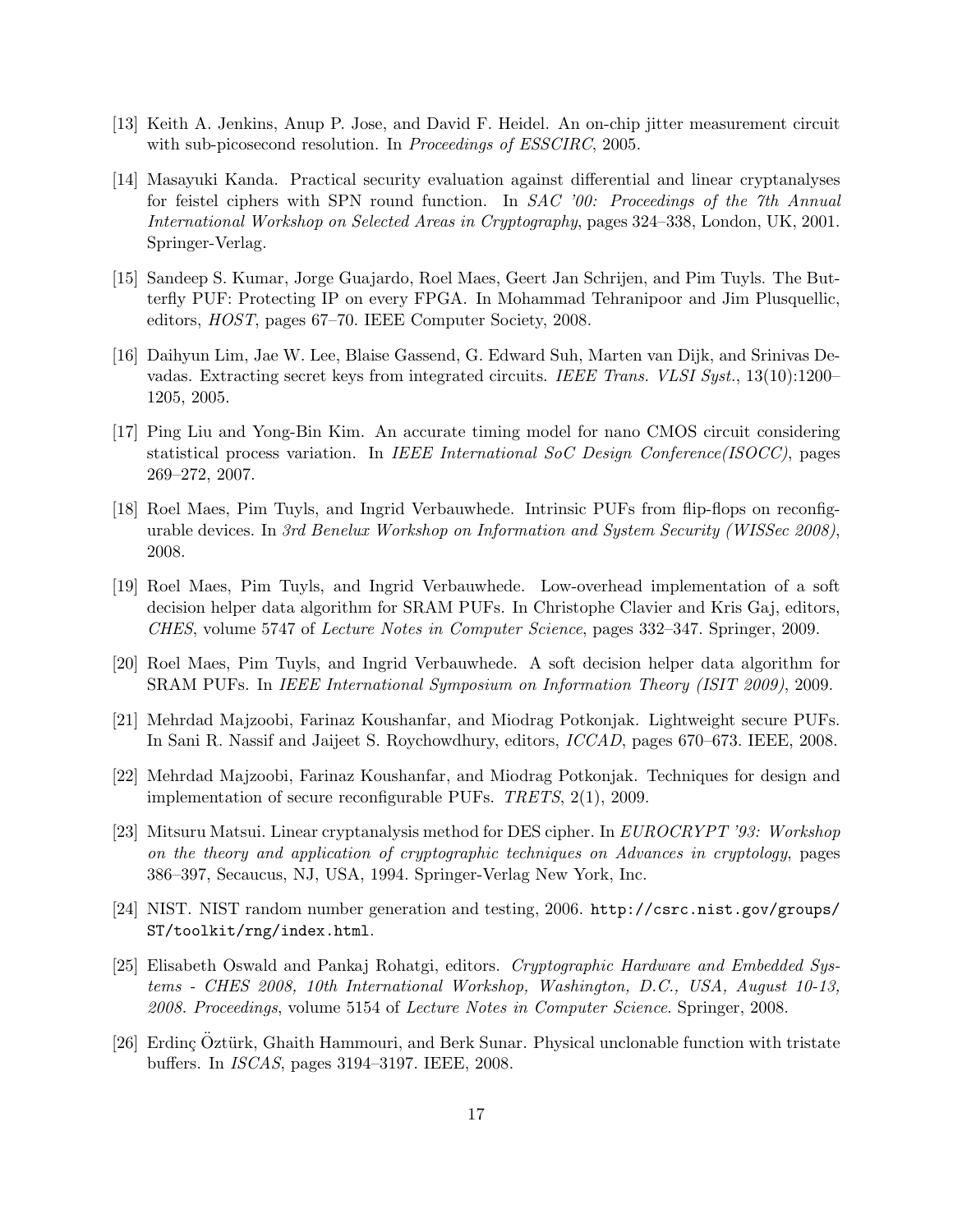- [13] Keith A. Jenkins, Anup P. Jose, and David F. Heidel. An on-chip jitter measurement circuit with sub-picosecond resolution. In Proceedings of ESSCIRC, 2005.
- [14] Masayuki Kanda. Practical security evaluation against differential and linear cryptanalyses for feistel ciphers with SPN round function. In SAC '00: Proceedings of the 7th Annual International Workshop on Selected Areas in Cryptography, pages 324–338, London, UK, 2001. Springer-Verlag.
- [15] Sandeep S. Kumar, Jorge Guajardo, Roel Maes, Geert Jan Schrijen, and Pim Tuyls. The Butterfly PUF: Protecting IP on every FPGA. In Mohammad Tehranipoor and Jim Plusquellic, editors, HOST, pages 67–70. IEEE Computer Society, 2008.
- [16] Daihyun Lim, Jae W. Lee, Blaise Gassend, G. Edward Suh, Marten van Dijk, and Srinivas Devadas. Extracting secret keys from integrated circuits. IEEE Trans. VLSI Syst., 13(10):1200– 1205, 2005.
- [17] Ping Liu and Yong-Bin Kim. An accurate timing model for nano CMOS circuit considering statistical process variation. In IEEE International SoC Design Conference(ISOCC), pages 269–272, 2007.
- [18] Roel Maes, Pim Tuyls, and Ingrid Verbauwhede. Intrinsic PUFs from flip-flops on reconfigurable devices. In 3rd Benelux Workshop on Information and System Security (WISSec 2008), 2008.
- [19] Roel Maes, Pim Tuyls, and Ingrid Verbauwhede. Low-overhead implementation of a soft decision helper data algorithm for SRAM PUFs. In Christophe Clavier and Kris Gaj, editors, CHES, volume 5747 of Lecture Notes in Computer Science, pages 332–347. Springer, 2009.
- [20] Roel Maes, Pim Tuyls, and Ingrid Verbauwhede. A soft decision helper data algorithm for SRAM PUFs. In IEEE International Symposium on Information Theory (ISIT 2009), 2009.
- [21] Mehrdad Majzoobi, Farinaz Koushanfar, and Miodrag Potkonjak. Lightweight secure PUFs. In Sani R. Nassif and Jaijeet S. Roychowdhury, editors, ICCAD, pages 670–673. IEEE, 2008.
- [22] Mehrdad Majzoobi, Farinaz Koushanfar, and Miodrag Potkonjak. Techniques for design and implementation of secure reconfigurable PUFs. TRETS, 2(1), 2009.
- [23] Mitsuru Matsui. Linear cryptanalysis method for DES cipher. In EUROCRYPT '93: Workshop on the theory and application of cryptographic techniques on Advances in cryptology, pages 386–397, Secaucus, NJ, USA, 1994. Springer-Verlag New York, Inc.
- [24] NIST. NIST random number generation and testing, 2006. http://csrc.nist.gov/groups/ ST/toolkit/rng/index.html.
- [25] Elisabeth Oswald and Pankaj Rohatgi, editors. Cryptographic Hardware and Embedded Systems - CHES 2008, 10th International Workshop, Washington, D.C., USA, August 10-13, 2008. Proceedings, volume 5154 of Lecture Notes in Computer Science. Springer, 2008.
- [26] Erdinç Öztürk, Ghaith Hammouri, and Berk Sunar. Physical unclonable function with tristate buffers. In ISCAS, pages 3194–3197. IEEE, 2008.